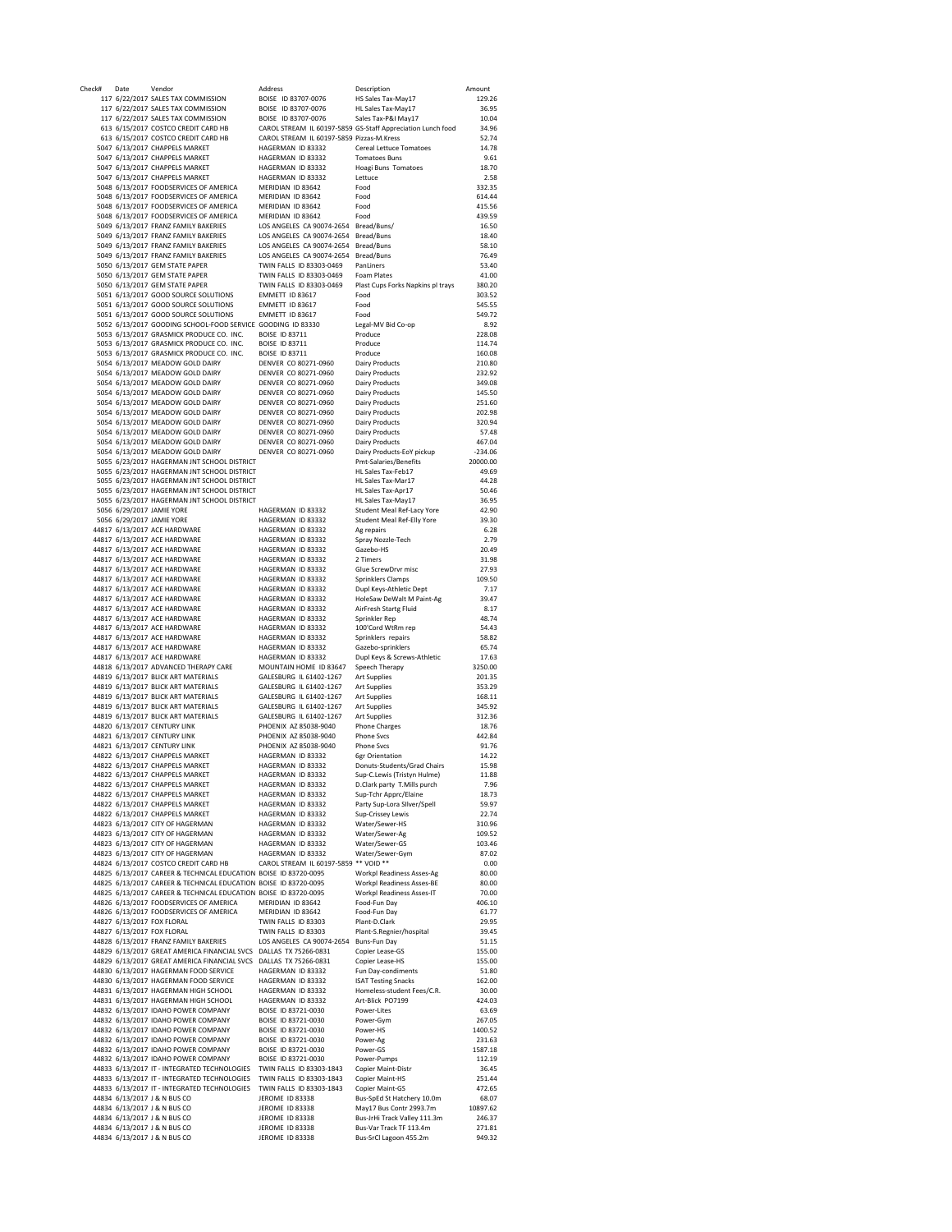| Check# | Date | Vendor                                                                | Address                                   | Description                                                 | Amount    |
|--------|------|-----------------------------------------------------------------------|-------------------------------------------|-------------------------------------------------------------|-----------|
|        |      | 117 6/22/2017 SALES TAX COMMISSION                                    | BOISE ID 83707-0076                       | HS Sales Tax-May17                                          | 129.26    |
|        |      | 117 6/22/2017 SALES TAX COMMISSION                                    | BOISE ID 83707-0076                       | HL Sales Tax-May17                                          | 36.95     |
|        |      | 117 6/22/2017 SALES TAX COMMISSION                                    | BOISE ID 83707-0076                       | Sales Tax-P&I May17                                         | 10.04     |
|        |      | 613 6/15/2017 COSTCO CREDIT CARD HB                                   |                                           | CAROL STREAM IL 60197-5859 GS-Staff Appreciation Lunch food | 34.96     |
|        |      | 613 6/15/2017 COSTCO CREDIT CARD HB                                   | CAROL STREAM IL 60197-5859 Pizzas-M.Kress |                                                             | 52.74     |
|        |      | 5047 6/13/2017 CHAPPELS MARKET                                        | HAGERMAN ID 83332                         | Cereal Lettuce Tomatoes                                     | 14.78     |
|        |      | 5047 6/13/2017 CHAPPELS MARKET                                        | HAGERMAN ID 83332                         | <b>Tomatoes Buns</b>                                        | 9.61      |
|        |      | 5047 6/13/2017 CHAPPELS MARKET                                        | HAGFRMAN ID 83332                         | Hoagi Buns Tomatoes                                         | 18.70     |
|        |      | 5047 6/13/2017 CHAPPELS MARKET                                        | HAGERMAN ID 83332                         | Lettuce                                                     | 2.58      |
|        |      |                                                                       |                                           |                                                             |           |
|        |      | 5048 6/13/2017 FOODSERVICES OF AMERICA                                | MERIDIAN ID 83642                         | Food                                                        | 332.35    |
|        |      | 5048 6/13/2017 FOODSERVICES OF AMERICA                                | MERIDIAN ID 83642                         | Food                                                        | 614.44    |
|        |      | 5048 6/13/2017 FOODSERVICES OF AMERICA                                | MERIDIAN ID 83642                         | Food                                                        | 415.56    |
|        |      | 5048 6/13/2017 FOODSERVICES OF AMERICA                                | MERIDIAN ID 83642                         | Food                                                        | 439.59    |
|        |      | 5049 6/13/2017 FRANZ FAMILY BAKERIES                                  | LOS ANGELES CA 90074-2654                 | Bread/Buns/                                                 | 16.50     |
|        |      | 5049 6/13/2017 FRANZ FAMILY BAKERIES                                  | LOS ANGELES CA 90074-2654                 | Bread/Buns                                                  | 18.40     |
|        |      | 5049 6/13/2017 FRANZ FAMILY BAKERIES                                  | LOS ANGELES CA 90074-2654                 | Bread/Buns                                                  | 58.10     |
|        |      | 5049 6/13/2017 FRANZ FAMILY BAKERIES                                  | LOS ANGELES CA 90074-2654                 | Bread/Buns                                                  | 76.49     |
|        |      |                                                                       |                                           |                                                             |           |
|        |      | 5050 6/13/2017 GEM STATE PAPER                                        | TWIN FALLS ID 83303-0469                  | PanLiners                                                   | 53.40     |
|        |      | 5050 6/13/2017 GEM STATE PAPER                                        | TWIN FALLS ID 83303-0469                  | Foam Plates                                                 | 41.00     |
|        |      | 5050 6/13/2017 GEM STATE PAPER                                        | TWIN FALLS ID 83303-0469                  | Plast Cups Forks Napkins pl trays                           | 380.20    |
|        |      | 5051 6/13/2017 GOOD SOURCE SOLUTIONS                                  | <b>EMMETT ID 83617</b>                    | Food                                                        | 303.52    |
|        |      | 5051 6/13/2017 GOOD SOURCE SOLUTIONS                                  | EMMETT ID 83617                           | Food                                                        | 545.55    |
|        |      | 5051 6/13/2017 GOOD SOURCE SOLUTIONS                                  | <b>EMMETT ID 83617</b>                    | Food                                                        | 549.72    |
|        |      | 5052 6/13/2017 GOODING SCHOOL-FOOD SERVICE GOODING ID 83330           |                                           | Legal-MV Bid Co-op                                          | 8.92      |
|        |      | 5053 6/13/2017 GRASMICK PRODUCE CO. INC.                              | <b>BOISE ID 83711</b>                     | Produce                                                     | 228.08    |
|        |      | 5053 6/13/2017 GRASMICK PRODUCE CO. INC.                              | BOISE ID 83711                            | Produce                                                     | 114.74    |
|        |      |                                                                       |                                           |                                                             |           |
|        |      | 5053 6/13/2017 GRASMICK PRODUCE CO. INC.                              | BOISE ID 83711                            | Produce                                                     | 160.08    |
|        |      | 5054 6/13/2017 MEADOW GOLD DAIRY                                      | DENVER CO 80271-0960                      | Dairy Products                                              | 210.80    |
|        |      | 5054 6/13/2017 MEADOW GOLD DAIRY                                      | DENVER CO 80271-0960                      | Dairy Products                                              | 232.92    |
|        |      | 5054 6/13/2017 MEADOW GOLD DAIRY                                      | DENVER CO 80271-0960                      | Dairy Products                                              | 349.08    |
|        |      | 5054 6/13/2017 MEADOW GOLD DAIRY                                      | DENVER CO 80271-0960                      | Dairy Products                                              | 145.50    |
|        |      | 5054 6/13/2017 MEADOW GOLD DAIRY                                      | DENVER CO 80271-0960                      | Dairy Products                                              | 251.60    |
|        |      | 5054 6/13/2017 MEADOW GOLD DAIRY                                      | DENVER CO 80271-0960                      | <b>Dairy Products</b>                                       | 202.98    |
|        |      | 5054 6/13/2017 MEADOW GOLD DAIRY                                      | DENVER CO 80271-0960                      | Dairy Products                                              | 320.94    |
|        |      | 5054 6/13/2017 MEADOW GOLD DAIRY                                      | DENVER CO 80271-0960                      | Dairy Products                                              | 57.48     |
|        |      |                                                                       | DENVER CO 80271-0960                      |                                                             | 467.04    |
|        |      | 5054 6/13/2017 MEADOW GOLD DAIRY                                      |                                           | Dairy Products                                              |           |
|        |      | 5054 6/13/2017 MEADOW GOLD DAIRY                                      | DENVER CO 80271-0960                      | Dairy Products-EoY pickup                                   | $-234.06$ |
|        |      | 5055 6/23/2017 HAGERMAN JNT SCHOOL DISTRICT                           |                                           | Pmt-Salaries/Benefits                                       | 20000.00  |
|        |      | 5055 6/23/2017 HAGERMAN JNT SCHOOL DISTRICT                           |                                           | HL Sales Tax-Feb17                                          | 49.69     |
|        |      | 5055 6/23/2017 HAGERMAN JNT SCHOOL DISTRICT                           |                                           | <b>HL Sales Tax-Mar17</b>                                   | 44.28     |
|        |      | 5055 6/23/2017 HAGERMAN JNT SCHOOL DISTRICT                           |                                           | HL Sales Tax-Apr17                                          | 50.46     |
|        |      | 5055 6/23/2017 HAGERMAN JNT SCHOOL DISTRICT                           |                                           | HL Sales Tax-May17                                          | 36.95     |
|        |      | 5056 6/29/2017 JAMIE YORE                                             | HAGERMAN ID 83332                         | Student Meal Ref-Lacy Yore                                  | 42.90     |
|        |      | 5056 6/29/2017 JAMIE YORE                                             | HAGERMAN ID 83332                         | Student Meal Ref-Elly Yore                                  | 39.30     |
|        |      | 44817 6/13/2017 ACE HARDWARE                                          | HAGERMAN ID 83332                         | Ag repairs                                                  | 6.28      |
|        |      |                                                                       |                                           |                                                             |           |
|        |      | 44817 6/13/2017 ACE HARDWARE                                          | HAGERMAN ID 83332                         | Spray Nozzle-Tech                                           | 2.79      |
|        |      | 44817 6/13/2017 ACE HARDWARE                                          | HAGERMAN ID 83332                         | Gazebo-HS                                                   | 20.49     |
|        |      | 44817 6/13/2017 ACE HARDWARE                                          | HAGERMAN ID 83332                         | 2 Timers                                                    | 31.98     |
|        |      | 44817 6/13/2017 ACE HARDWARE                                          | HAGERMAN ID 83332                         | Glue ScrewDrvr misc                                         | 27.93     |
|        |      | 44817 6/13/2017 ACE HARDWARE                                          | HAGERMAN ID 83332                         | Sprinklers Clamps                                           | 109.50    |
|        |      | 44817 6/13/2017 ACE HARDWARE                                          | HAGERMAN ID 83332                         | Dupl Keys-Athletic Dept                                     | 7.17      |
|        |      | 44817 6/13/2017 ACE HARDWARE                                          | HAGERMAN ID 83332                         | HoleSaw DeWalt M Paint-Ag                                   | 39.47     |
|        |      | 44817 6/13/2017 ACE HARDWARE                                          | HAGERMAN ID 83332                         | AirFresh Startg Fluid                                       | 8.17      |
|        |      | 44817 6/13/2017 ACE HARDWARE                                          | HAGERMAN ID 83332                         | Sprinkler Rep                                               | 48.74     |
|        |      |                                                                       |                                           |                                                             |           |
|        |      | 44817 6/13/2017 ACE HARDWARE                                          | HAGERMAN ID 83332                         | 100'Cord WtRm rep                                           | 54.43     |
|        |      | 44817 6/13/2017 ACE HARDWARE                                          | HAGERMAN ID 83332                         | Sprinklers repairs                                          | 58.82     |
|        |      | 44817 6/13/2017 ACE HARDWARE                                          | HAGERMAN ID 83332                         | Gazebo-sprinklers                                           | 65.74     |
|        |      | 44817 6/13/2017 ACE HARDWARE                                          | HAGERMAN ID 83332                         | Dupl Keys & Screws-Athletic                                 | 17.63     |
|        |      | 44818 6/13/2017 ADVANCED THERAPY CARE                                 | MOUNTAIN HOME ID 83647                    | Speech Therapy                                              | 3250.00   |
|        |      | 44819 6/13/2017 BLICK ART MATERIALS                                   | GALESBURG IL 61402-1267                   | <b>Art Supplies</b>                                         | 201.35    |
|        |      | 44819 6/13/2017 BLICK ART MATERIALS                                   | GALESBURG IL 61402-1267                   | <b>Art Supplies</b>                                         | 353.29    |
|        |      | 44819 6/13/2017 BLICK ART MATERIALS                                   | GALESBURG IL 61402-1267                   | <b>Art Supplies</b>                                         | 168.11    |
|        |      | 44819 6/13/2017 BLICK ART MATERIALS                                   | GALESBURG IL 61402-1267                   | <b>Art Supplies</b>                                         | 345.92    |
|        |      |                                                                       | GALESBURG IL 61402-1267                   | <b>Art Supplies</b>                                         |           |
|        |      | 44819 6/13/2017 BLICK ART MATERIALS                                   |                                           |                                                             | 312.36    |
|        |      | 44820 6/13/2017 CENTURY LINK                                          | PHOENIX AZ 85038-9040                     | <b>Phone Charges</b>                                        | 18.76     |
|        |      | 44821 6/13/2017 CENTURY LINK                                          | PHOENIX AZ 85038-9040                     | <b>Phone Sycs</b>                                           | 442.84    |
|        |      | 44821 6/13/2017 CENTURY LINK                                          | PHOENIX AZ 85038-9040                     | Phone Svcs                                                  | 91.76     |
|        |      | 44822 6/13/2017 CHAPPELS MARKET                                       | HAGERMAN ID 83332                         | 6gr Orientation                                             | 14.22     |
|        |      | 44822 6/13/2017 CHAPPELS MARKET                                       | HAGERMAN ID 83332                         | Donuts-Students/Grad Chairs                                 | 15.98     |
|        |      | 44822 6/13/2017 CHAPPELS MARKET                                       | HAGERMAN ID 83332                         | Sup-C.Lewis (Tristyn Hulme)                                 | 11.88     |
|        |      | 44822 6/13/2017 CHAPPELS MARKET                                       | HAGERMAN ID 83332                         | D.Clark party T.Mills purch                                 | 7.96      |
|        |      | 44822 6/13/2017 CHAPPELS MARKET                                       | HAGERMAN ID 83332                         | Sup-Tchr Apprc/Elaine                                       | 18.73     |
|        |      | 44822 6/13/2017 CHAPPELS MARKET                                       | HAGERMAN ID 83332                         | Party Sup-Lora Silver/Spell                                 | 59.97     |
|        |      |                                                                       |                                           |                                                             |           |
|        |      | 44822 6/13/2017 CHAPPELS MARKET                                       | HAGERMAN ID 83332                         | Sup-Crissey Lewis                                           | 22.74     |
|        |      | 44823 6/13/2017 CITY OF HAGERMAN                                      | HAGERMAN ID 83332                         | Water/Sewer-HS                                              | 310.96    |
|        |      | 44823 6/13/2017 CITY OF HAGERMAN                                      | HAGERMAN ID 83332                         | Water/Sewer-Ag                                              | 109.52    |
|        |      | 44823 6/13/2017 CITY OF HAGERMAN                                      | HAGERMAN ID 83332                         | Water/Sewer-GS                                              | 103.46    |
|        |      | 44823 6/13/2017 CITY OF HAGERMAN                                      | HAGERMAN ID 83332                         | Water/Sewer-Gym                                             | 87.02     |
|        |      | 44824 6/13/2017 COSTCO CREDIT CARD HB                                 | CAROL STREAM IL 60197-5859 ** VOID **     |                                                             | 0.00      |
|        |      | 44825 6/13/2017 CAREER & TECHNICAL EDUCATION BOISE ID 83720-0095      |                                           | Workpl Readiness Asses-Ag                                   | 80.00     |
|        |      | 44825 6/13/2017 CAREER & TECHNICAL EDUCATION BOISE ID 83720-0095      |                                           | Workpl Readiness Asses-BE                                   | 80.00     |
|        |      | 44825 6/13/2017 CAREER & TECHNICAL EDUCATION BOISE ID 83720-0095      |                                           | Workpl Readiness Asses-IT                                   | 70.00     |
|        |      | 44826 6/13/2017 FOODSERVICES OF AMERICA                               | MERIDIAN ID 83642                         | Food-Fun Day                                                | 406.10    |
|        |      | 44826 6/13/2017 FOODSERVICES OF AMERICA                               | MERIDIAN ID 83642                         | Food-Fun Day                                                | 61.77     |
|        |      | 44827 6/13/2017 FOX FLORAL                                            | TWIN FALLS ID 83303                       | Plant-D.Clark                                               | 29.95     |
|        |      |                                                                       |                                           |                                                             |           |
|        |      | 44827 6/13/2017 FOX FLORAL                                            | TWIN FALLS ID 83303                       | Plant-S.Regnier/hospital                                    | 39.45     |
|        |      | 44828 6/13/2017 FRANZ FAMILY BAKERIES                                 | LOS ANGELES CA 90074-2654 Buns-Fun Day    |                                                             | 51.15     |
|        |      | 44829 6/13/2017 GREAT AMERICA FINANCIAL SVCS DALLAS TX 75266-0831     |                                           | Copier Lease-GS                                             | 155.00    |
|        |      | 44829 6/13/2017 GREAT AMERICA FINANCIAL SVCS DALLAS TX 75266-0831     |                                           | Copier Lease-HS                                             | 155.00    |
|        |      | 44830 6/13/2017 HAGERMAN FOOD SERVICE                                 | HAGERMAN ID 83332                         | Fun Day-condiments                                          | 51.80     |
|        |      | 44830 6/13/2017 HAGERMAN FOOD SERVICE                                 | HAGERMAN ID 83332                         | <b>ISAT Testing Snacks</b>                                  | 162.00    |
|        |      | 44831 6/13/2017 HAGERMAN HIGH SCHOOL                                  | HAGERMAN ID 83332                         | Homeless-student Fees/C.R.                                  | 30.00     |
|        |      | 44831 6/13/2017 HAGERMAN HIGH SCHOOL                                  | HAGERMAN ID 83332                         | Art-Blick PO7199                                            | 424.03    |
|        |      | 44832 6/13/2017 IDAHO POWER COMPANY                                   | BOISE ID 83721-0030                       | Power-Lites                                                 | 63.69     |
|        |      |                                                                       |                                           |                                                             |           |
|        |      | 44832 6/13/2017 IDAHO POWER COMPANY                                   | BOISE ID 83721-0030                       | Power-Gym                                                   | 267.05    |
|        |      | 44832 6/13/2017 IDAHO POWER COMPANY                                   | BOISE ID 83721-0030                       | Power-HS                                                    | 1400.52   |
|        |      | 44832 6/13/2017 IDAHO POWER COMPANY                                   | BOISE ID 83721-0030                       | Power-Ag                                                    | 231.63    |
|        |      | 44832 6/13/2017 IDAHO POWER COMPANY                                   | BOISE ID 83721-0030                       | Power-GS                                                    | 1587.18   |
|        |      | 44832 6/13/2017 IDAHO POWER COMPANY                                   | BOISE ID 83721-0030                       | Power-Pumps                                                 | 112.19    |
|        |      | 44833 6/13/2017 IT - INTEGRATED TECHNOLOGIES TWIN FALLS ID 83303-1843 |                                           | Copier Maint-Distr                                          | 36.45     |
|        |      | 44833 6/13/2017 IT - INTEGRATED TECHNOLOGIES TWIN FALLS ID 83303-1843 |                                           | Copier Maint-HS                                             | 251.44    |
|        |      | 44833 6/13/2017 IT - INTEGRATED TECHNOLOGIES TWIN FALLS ID 83303-1843 |                                           | Copier Maint-GS                                             | 472.65    |
|        |      |                                                                       |                                           |                                                             |           |
|        |      | 44834 6/13/2017 J & N BUS CO                                          | JEROME ID 83338                           | Bus-SpEd St Hatchery 10.0m                                  | 68.07     |
|        |      | 44834 6/13/2017 J & N BUS CO                                          | JEROME ID 83338                           | May17 Bus Contr 2993.7m                                     | 10897.62  |
|        |      | 44834 6/13/2017 J & N BUS CO                                          | JEROME ID 83338                           | Bus-JrHi Track Valley 111.3m                                | 246.37    |
|        |      |                                                                       |                                           |                                                             |           |
|        |      | 44834 6/13/2017 J & N BUS CO                                          | JEROME ID 83338                           | Bus-Var Track TF 113.4m                                     | 271.81    |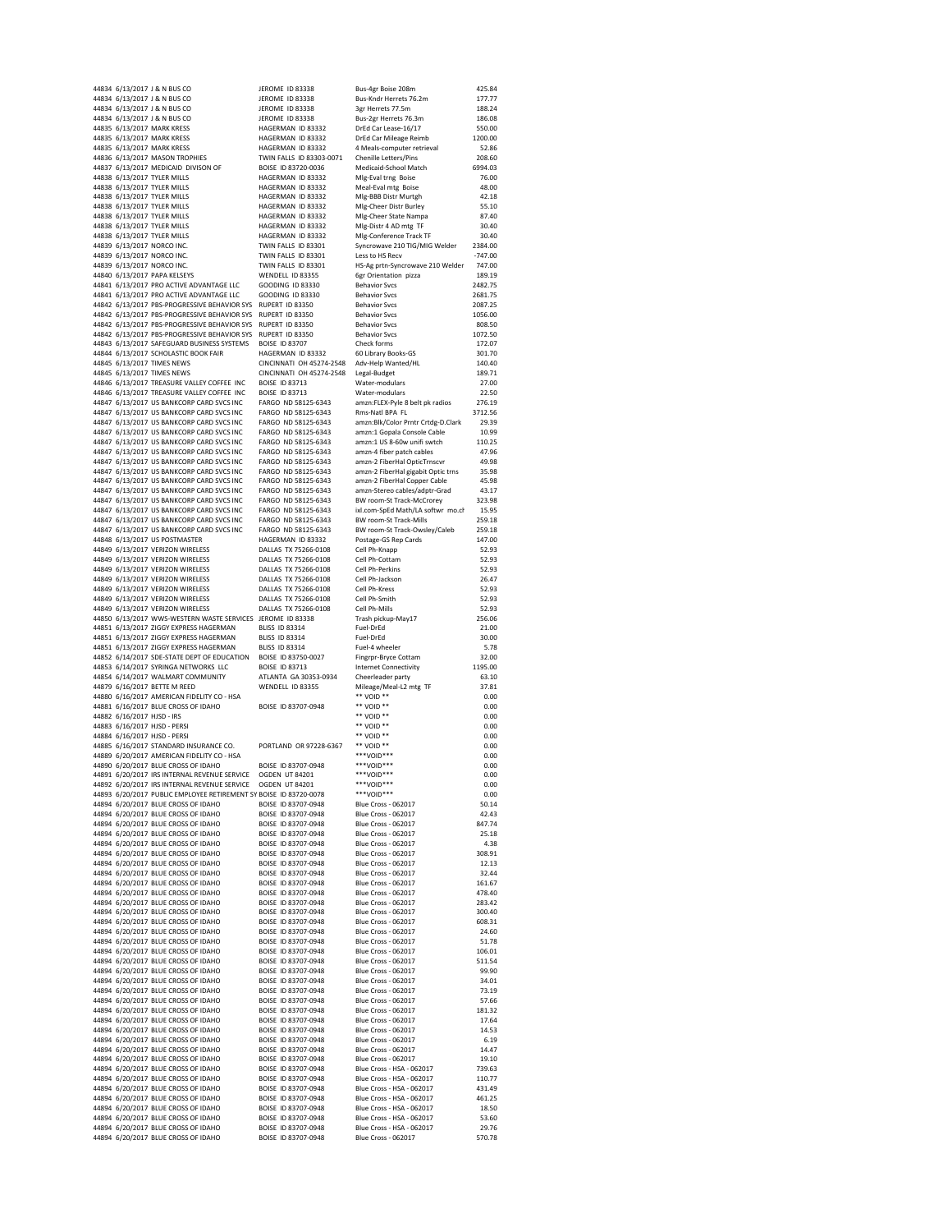44834 6/13/2017 J & N BUS CO JEROME ID 83338 Bus‐Kndr Herrets 76.2m 177.77 44834 6/13/2017 J & N BUS CO JEROME ID 83338 3 gr Herrets 77.5m 188.24<br>44834 6/13/2017 J & N BUS CO JEROME ID 83338 Bus-2gr Herrets 76.3m 186.08 44834 6/13/2017 J & N BUS CO JEROME ID 83338 Bus‐2gr Herrets 76.3m 186.08 44835 6/13/2017 MARK KRESS HAGERMAN ID 83332 DrEd Car Lease‐16/17 550.00 44835 6/13/2017 MARK KRESS HAGERMAN ID 83332 DrEd Car Mileage Reimb 1200.00 44835 6/13/2017 MARK KRESS HAGERMAN ID 83332 4 Meals‐computer retrieval 52.86 44836 6/13/2017 MASON TROPHIES TWIN FALLS ID 83303-0071 Chenille Letters/Pins 208.60<br>44837 6/13/2017 MEDICAID DIVISON OF BOISE ID 83720-0036 Medicaid-School Match 6994.03 44837 6/13/2017 MEDICAID DIVISON OF BOISE ID 83720-0036 Medicaid-School Match 6994.03<br>44838 6/13/2017 TYLER MILLS HAGERMAN ID 83332 MIg-Eval trng Boise 76.00 + Adams American Control of Decembent Data of Decembent Data of Decembent Data of Decembent Data of Decembent<br>44838 6/13/2017 TYLER MILLS HAGERMAN ID 83332 Mlg∈Eval trng Boise 48.000<br>44838 6/13/2017 TYLER MILLS HAGERMAN 44838 6/13/2017 TYLER MILLS HAGERMAN ID 83332<br>44838 6/13/2017 TYLER MILLS HAGERMAN ID 83332<br>44838 6/13/2017 TYLER MILLS HAGERMAN ID 83332 44838 6/13/2017 TYLER MILLS HAGERMAN ID 83332 Mlg‐BBB Distr Murtgh 42.18 44838 6/13/2017 TYLER MILLS HAGERMAN ID 83332 Mlg‐Cheer Distr Burley 55.10 44838 6/13/2017 TYLER MILLS HAGERMAN ID 83332 Mig-Cheer State Nampa 87.40<br>44838 6/13/2017 TYLER MILLS HAGERMAN ID 83332 Mig-Cheer State Nampa 87.40<br>44838 6/13/2017 TYLER MILLS HAGERMAN ID 83332 Mig-Distr 4 AD mtg TF 30.40 44838 6/13/2017 TYLER MILLS HAGERMAN ID 83332 Mlg‐Distr 4 AD mtg TF 30.40 44838 6/13/2017 TYLER MILLS HAGERMAN ID 83332 Mig-Conference Track TF 2834.0<br>44839 6/13/2017 NORCO INC. TWIN FALLS ID 83301 Syncrowave 210 TIG/MIG Welder 2384.00<br>44839 6/13/2017 NORCO INC. TWIN FALLS ID 83301 Less to HS R 44839 6/13/2017 NORCO INC. TWIN FALLS ID 83301 Syncrowave 210 TIG/MIG Welder 2384.00 44839 6/13/2017 NORCO INC. TWIN FALLS ID 83301 Less to HS Recv ‐747.00 44839 6/13/2017 NORCO INC. TWIN FALLS ID 83301 HS‐Ag prtn‐Syncrowave 210 Welder 747.00 44840 6/13/2017 PAPA KELSEYS WENDELL ID 83355 6gr Orientation pizza 189.19 44841 6/13/2017 PRO ACTIVE ADVANTAGE LLC GOODING ID 83330 Behavior Svcs 2482.75 44841 6/13/2017 PRO ACTIVE ADVANTAGE LLC GOODING ID 83330 Behavior Svcs 2681.75<br>44842 6/13/2017 PBS-PROGRESSIVE BEHAVIOR SYS RUPERT ID 83350 Behavior Svcs 2087.25 44842 6/13/2017 PBS‐PROGRESSIVE BEHAVIOR SYS RUPERT ID 83350 Behavior Svcs 2087.25 44842 6/13/2017 PBS-PROGRESSIVE BEHAVIOR SYS RUPERT ID 83350 Behavior Svcs 1056.00<br>44842 6/13/2017 PBS-PROGRESSIVE BEHAVIOR SYS RUPERT ID 83350 Behavior Svcs 308.50 808.50 44842 6/13/2017 PBS-PROGRESSIVE BEHAVIOR SYS 44842 6/13/2017 PBS-PROGRESSIVE BEHAVIOR SYS RUPERT ID 83350 Behavior Svcs 1072.50<br>44843 6/13/2017 SAFEGUARD BUSINESS SYSTEMS BOISE ID 83707 Check forms 172.07 44843 6/13/2017 SAFEGUARD BUSINESS SYSTEMS BOISE ID 83707 Check forms 172.07<br>44844 6/13/2017 SCHOLASTIC BOOK FAIR HAGERMAN ID 83332 60 Library Books-GS 301.70 44844 6/13/2017 SCHOLASTIC BOOK FAIR HAGERMAN ID 83332 60 Library Books‐GS 301.70 44845 6/13/2017 TIMES NEWS CINCINNATI OH 45274-2548 Adv-Help Wanted/HL 140.40<br>44845 6/13/2017 TIMES NEWS CINCINNATI OH 45274-2548 Legal-Budget 189.71 CINCINNATI OH 45274-2548 44846 6/13/2017 TREASURE VALLEY COFFEE INC BOISE ID 83713 Water-modulars 27.00<br>44846 6/13/2017 TREASURE VALLEY COFFEE INC BOISE ID 83713 Water-modulars 27.50 44846 6/13/2017 TREASURE VALLEY COFFEE INC BOISE ID 83713 Water-modulars 22.50<br>44847 6/13/2017 US BANKCORP CARD SVCS INC FARGO ND 58125-6343 amzn:FLEX-Pyle 8 belt pk radios 276.19 44847 6/13/2017 US BANKCORP CARD SVCS INC FARGO ND 58125‐6343 amzn:FLEX‐Pyle 8 belt pk radios 276.19 44847 6/13/2017 US BANKCORP CARD SVCS INC FARGO ND 58125-6343 Rms-Natl BPA FL 3712.56<br>44847 6/13/2017 US BANKCORP CARD SVCS INC FARGO ND 58125-6343 amzn:Blk/Color Prntr Crtdg-D.Clark 29.39 44847 6/13/2017 US BANKCORP CARD SVCS INC FARGO ND 58125-6343 amzn:Blk/Color Prntr Crtdg-D.<br>44847 6/13/2017 US BANKCORP CARD SVCS INC FARGO ND 58125-6343 amzn:1 Gopala Console Cable 44847 6/13/2017 US BANKCORP CARD SVCS INC FARGO ND 58125-6343 amzn:1 Gopala Console Cable 10.99<br>44847 6/13/2017 US BANKCORP CARD SVCS INC FARGO ND 58125-6343 amzn:1 US 8-60w unifi swtch 110.25 44847 6/13/2017 US BANKCORP CARD SVCS INC FARGO ND 58125-6343 amzn:1 US 8-60w unifi swtch 110.25<br>44847 6/13/2017 US BANKCORP CARD SVCS INC FARGO ND 58125-6343 amzn-4 fiber patch cables 47.96 44847 6/13/2017 US BANKCORP CARD SVCS INC FARGO ND 58125‐6343 amzn‐4 fiber patch cables 47.96 44847 6/13/2017 US BANKCORP CARD SVCS INC<br>44847 6/13/2017 US BANKCORP CARD SVCS INC FARGO ND 58125-6343 amzo-2 FiberHal gigabit Ontic trns 35.98 44847 6/13/2017 US BANKCORP CARD SVCS INC<br>44847 6/13/2017 US BANKCORP CARD SVCS INC FARGO ND 58125-6343 amzn-Stereo cables/adotr-Grad 43.17 44847 6/13/2017 US BANKCORP CARD SVCS INC FARGO ND 58125-6343 amzn-Stereo cables/adptr-Grad 43.17<br>44847 6/13/2017 US BANKCORP CARD SVCS INC FARGO ND 58125-6343 BW room-St Track-McCrorey 323.98 44847 6/13/2017 US BANKCORP CARD SVCS INC FARGO ND 58125-6343 BW room-St Track-McCrorey 323.98<br>44847 6/13/2017 US BANKCORP CARD SVCS INC FARGO ND 58125-6343 ixl.com-SpEd Math/LA softwr mo.cr 15.95 44847 6/13/2017 US BANKCORP CARD SVCS INC FARGO ND 58125-6343 ixl.com-SpEd Math/LA softwr mo.ch 15.95<br>44847 6/13/2017 US BANKCORP CARD SVCS INC FARGO ND 58125-6343 BW room-St Track-Mills 259.18 44847 6/13/2017 US BANKCORP CARD SVCS INC FARGO ND 58125-6343 BW room-St Track-Mills<br>44847 6/13/2017 US BANKCORP CARD SVCS INC FARGO ND 58125-6343 BW room-St Track-Owsley/Caleb 44847 6/13/2017 US BANKCORP CARD SVCS INC FARGO ND 58125-6343 BW room-St Track-Owsley/Caleb 259.18<br>44848 6/13/2017 US POSTMASTER HAGERMAN ID 83332 Postaee-GS Rep Cards 147.00 44848 6/13/2017 US POSTMASTER HAGERMAN ID 83332 Postage‐GS Rep Cards 147.00 44849 6/13/2017 VERIZON WIRELESS DALLAS TX 75266-0108 Cell Ph-Knapp 52.93<br>44849 6/13/2017 VERIZON WIRELESS DALLAS TX 75266-0108 Cell Ph-Cottam 52.93 44849 6/13/2017 VERIZON WIRELESS DALLAS TX 75266-0108 Cell Ph-Cottam 52.93<br>44849 6/13/2017 VERIZON WIRELESS DALLAS TX 75266-0108 Cell Ph-Perkins 52.93 44849 6/13/2017 VERIZON WIRELESS DALLAS TX 75266-0108 Cell Ph-Perkins 52.93<br>44849 6/13/2017 VERIZON WIRELESS DALLAS TX 75266-0108 Cell Ph-Jackson 26.47 44849 6/13/2017 VERIZON WIRELESS DALLAS TX 75266-0108 Cell Ph-Jackson 26.47<br>44849 6/13/2017 VERIZON WIRELESS DALLAS TX 75266-0108 Cell Ph-Kress 52.93 44849 6/13/2017 VERIZON WIRELESS DALLAS TX 75266-0108 Cell Ph‐Kress 52.93<br>AARAQ 6/13/2017 VERIZON WIRELESS DALLAS TX 75266-0108 Cell Ph‐Smith 44849 6/13/2017 VERIZON WIRELESS DALLAS TX 75266-0108 Cell Ph-Smith 52.9349 6/13/2017 VERIZON WIRELESS DALLAS TX 75266-0108 Cell Ph-Mills 44849 6/13/2017 VERIZON WIRELESS DALLAS TX 75266-0108 Cell Ph-Mills 52.93<br>44850 6/13/2017 WWS-WESTERN WASTE SERVICES JEROME ID 83338 Trash pickup-Mav17 256.06 44850 6/13/2017 WWS‐WESTERN WASTE SERVICES JEROME ID 83338 Trash pickup‐May17 256.06 44851 6/13/2017 ZIGGY EXPRESS HAGERMAN BLISS ID 83314 Fuel‐DrEd 21.00 44851 6/13/2017 ZIGGY EXPRESS HAGERMAN BLISS ID 83314 Fuel-DrEd Fuel-DrEd 30.00<br>44851 6/13/2017 ZIGGY EXPRESS HAGERMAN BLISS ID 83314 Fuel-4 wheeler 5.78 44851 6/13/2017 ZIGGY EXPRESS HAGERMAN BLISS ID 83314 Fuel-4 wheeler 5.78<br>44852 6/14/2017 SDE-STATE DEPT OF EDUCATION BOISE ID 83750-0027 Fingrpr-Bryce Cottam 32.00 44852 6/14/2017 SDE‐STATE DEPT OF EDUCATION BOISE ID 83750‐0027 Fingrpr‐Bryce Cottam 32.00<br>44853 6/14/2017 SVENNGA NETWORKS LLC BOISE ID 83713 Internet Connectivity 1195.00 44853 6/14/2017 SYRINGA NETWORKS LLC BOISE ID 83713 Internet Connectivity 1195.00<br>44854 6/14/2017 WALMART COMMUNITY ATLANTA GA 30353-0934 Cheerleader party 63.10 44854 6/14/2017 WALMART COMMUNITY ATLANTA GA 30353‐0934 Cheerleader party 63.10 44879 6/16/2017 BETTE M REED WENDELL ID 83355 Mileage/Meal-L2 mtg TF 37.81<br>44880 6/16/2017 AMFRICAN FIDELITY CO - HSA \*\*\* VOID \*\* VOID \*\* 44880 6/16/2017 AMERICAN FIDELITY CO ‐ HSA \*\* VOID \*\* 0.00 44881 6/16/2017 BLUE CROSS OF IDAHO BOISE ID 83707-0948 \*\* VOID \*\* 0.00<br>44882 6/16/2017 HJSD - IRS 0.00 44882 6/16/2017 HJSD ‐ IRS \*\* VOID \*\* 0.00 44883 6/16/2017 HJSD ‐ PERSI \*\* VOID \*\* 0.00 44884 6/16/2017 HJSD ‐ PERSI \*\* VOID \*\* 0.00 44885 6/16/2017 STANDARD INSURANCE CO. PORTLAND OR 97228-6367 \*\* VOID \*\* 0.00<br>44889 6/20/2017 AMERICAN FIDELITY CO - HSA \*\*\* void \*\*\* void \*\*\* 44889 6/20/2017 AMERICAN FIDELITY CO ‐ HSA \*\*\*VOID\*\*\* 0.00 44890 6/20/2017 BLUE CROSS OF IDAHO BOISE ID 83707-0948 \*\*\*VOID\*\*\*  $^{44891}$  6/20/2017 IRS INTERNAL REVENUE SERVICE OGDEN UT 84201 \*\*\*\*VOID\*\*\* 0.000<br>44892 6/20/2017 IRS INTERNAL REVENUE SERVICE OGDEN UT 84201 \*\*\*\*VOID\*\*\* 0 44891 6/20/2017 IRS INTERNAL REVENUE SERVICE 44892 6/20/2017 IRS INTERNAL REVENUE SERVICE OGDEN UT 84201 \*\*\*VOID\*\*\* 0.00 44893 6/20/2017 PUBLIC EMPLOYEE RETIREMENT SY BOISE 1D 83720-0078 \*\*\*\*VOID\*\*\* 0.00<br>44894 6/20/2017 BLUE CROSS OF IDAHO BOISE ID 83707-0948 Blue Cross - 062017 50.14 44894 6/20/2017 BLUE CROSS OF IDAHO BOISE ID 83707-0948<br>44894 6/20/2017 BLUE CROSS OF IDAHO BOISE ID 83707-0948 44894 6/20/2017 BLUE CROSS OF IDAHO BOISE ID 83707-0948 Blue Cross - 062017 42.43<br>44894 6/20/2017 BLUE CROSS OF IDAHO BOISE ID 83707-0948 Blue Cross - 062017 847.74<br>44894 6/20/2017 BLUE CROSS OF IDAHO BOISE ID 83707-0948 B 44894 6/20/2017 BLUE CROSS OF IDAHO BOISE ID 83707-0948 Blue Cross - 062017 847.74<br>44894 6/20/2017 BLUE CROSS OF IDAHO BOISE ID 83707-0948 Blue Cross - 062017 25.18 4489-1201-1201-1201-12020-2017 BOISE ID 83707‐0948 Blue Cross ‐ 062017 25.18<br>46/20/2017 BLUE CROSS OF IDAHO BOISE ID 83707‐0948 Blue Cross ‐ 062017 25.18 44894 6/20/2017 BLUE CROSS OF IDAHO BOISE ID 83707-0948 Blue Cross - 062017 4489<br>44894 6/20/2017 BLUE CROSS OF IDAHO BOISE ID 83707-0948 Blue Cross - 062017 308.91 44894 6/20/2017 BLUE CROSS OF IDAHO BOISE ID 83707‐0948 Blue Cross ‐ 062017 308.91 44894 6/20/2017 BLUE CROSS OF IDAHO BOISE ID 83707‐0948 Blue Cross ‐ 062017 12.13 44894 6/20/2017 BLUE CROSS OF IDAHO BOISE ID 83707-0948 Blue Cross - 062017 32.44<br>44894 6/20/2017 BLUE CROSS OF IDAHO BOISE ID 83707-0948 Blue Cross - 062017 161.67 44894 - 1222 - 1224<br>6/20/2017 BLUE CROSS OF IDAHO 44894 6/20/2017 BLUE CROSS OF IDAHO BOISE ID 83707-0948 Blue Cross - 062017 478.40<br>44894 6/20/2017 BLUE CROSS OF IDAHO BOISE ID 83707-0948 Blue Cross - 062017 283.42 44894 6/20/2017 BLUE CROSS OF IDAHO BOISE ID 83707-0948 Blue Cross - 062017 283.42<br>44894 6/20/2017 BLUE CROSS OF IDAHO BOISE ID 83707-0948 Blue Cross - 062017 300.40 44894 6/20/2017 BLUE CROSS OF IDAHO BOISE ID 83707‐0948 Blue Cross ‐ 062017 300.40 44894 6/20/2017 BLUE CROSS OF IDAHO BOISE ID 83707-0948 Blue Cross - 062017 608.31<br>44894 6/20/2017 BLUE CROSS OF IDAHO BOISE ID 83707-0948 Blue Cross - 062017 24.469<br>44894 6/20/2017 BLUE CROSS OF IDAHO BOISE ID 83707-0948 44894 6/20/2017 BLUE CROSS OF IDAHO BOISE ID 83707‐0948 Blue Cross ‐ 062017 24.60 44894 6/20/2017 BLUE CROSS OF IDAHO BOISE ID 83707‐0948 Blue Cross ‐ 062017 51.78 44894 6/20/2017 BLUE CROSS OF IDAHO BOISE ID 83707-0948 Blue Cross - 062017 106.01<br>44894 6/20/2017 BLUE CROSS OF IDAHO BOISE ID 83707-0948 Blue Cross - 062017 511.54 44894 6/20/2017 BLUE CROSS OF IDAHO BOISE ID 83707‐0948 Blue Cross ‐ 062017 511.54 44894 6/20/2017 BLUE CROSS OF IDAHO BOISE ID 83707-0948 Blue Cross - 062017 99.90<br>44894 6/20/2017 BLUE CROSS OF IDAHO BOISE ID 83707-0948 Blue Cross - 062017 94.499<br>44894 6/20/2017 BLUE CROSS OF IDAHO BOISE ID 83707-0948 B 44894 6/20/2017 BLUE CROSS OF IDAHO BOISE ID 83707‐0948 Blue Cross ‐ 062017 34.01 44894 6/20/2017 BLUE CROSS OF IDAHO BOISE ID 83707‐0948 Blue Cross ‐ 062017 73.19 44894 6/20/2017 BLUE CROSS OF IDAHO BOISE ID 83707‐0948 Blue Cross ‐ 062017 57.66 44894 6/20/2017 BLUE CROSS OF IDAHO 44894 6/20/2017 BLUE CROSS OF IDAHO BOISE ID 83707-0948 Blue Cross - 062017 17.64<br>44894 6/20/2017 BLUE CROSS OF IDAHO BOISE ID 83707-0948 Blue Cross - 062017 14.53<br>44894 6/20/2017 BLUE CROSS OF IDAHO BOISE ID 83707-0948 Bl 44894 6/20/2017 BLUE CROSS OF IDAHO BOISE ID 83707-0948 Blue Cross - 062017 14.53<br>44894 6/20/2017 BLUE CROSS OF IDAHO BOISE ID 83707-0948 Blue Cross - 062017 6.19 44894 6/20/2017 BLUE CROSS OF IDAHO BOISE ID 83707‐0948 Blue Cross ‐ 062017 6.19 44894 6/20/2017 BLUE CROSS OF IDAHO BOISE ID 83707-0948 Blue Cross - 062017 14.47<br>44894 6/20/2017 BLUE CROSS OF IDAHO BOISE ID 83707-0948 Blue Cross - 062017 19.10 44894 6/20/2017 BLUE CROSS OF IDAHO 44894 6/20/2017 BLUE CROSS OF IDAHO BOISE ID 83707‐0948 Blue Cross - HSA - 062017 739.63<br>44894 6/20/2017 BLUE CROSS OF IDAHO BOISE ID 83707‐0948 Blue Cross - HSA - 062017 110.77 44894 6/20/2017 BLUE CROSS OF IDAHO BOISE ID 83707‐0948 Blue Cross ‐ HSA ‐ 062017 431.49 44894 6/20/2017 BLUE CROSS OF IDAHO BOISE ID 83707-0948 Blue Cross - HSA - 062017 461.25<br>44894 6/20/2017 BLUE CROSS OF IDAHO BOISE ID 83707-0948 Blue Cross - HSA - 062017 18.50 44894 6/20/2017 BLUE CROSS OF IDAHO 44894 6/20/2017 BLUE CROSS OF IDAHO BOISE ID 83707-0948 Blue Cross - HSA - 062017 53.60<br>44894 6/20/2017 BLUE CROSS OF IDAHO BOISE ID 83707-0948 Blue Cross - HSA - 062017 29.76 44894 6/20/2017 BLUE CROSS OF IDAHO BOISE ID 83707-0948 Blue Cross - HSA − 062017 29.76<br>44894 6/20/2017 BLUE CROSS OF IDAHO BOISE ID 83707-0948 Blue Cross − 062017 570.78 44894 6/20/2017 BLUE CROSS OF IDAHO

44834 6/13/2017 J & N BUS CO BROME ID 83338 Bus-4gr Boise 208m 425.84<br>44834 6/13/2017 J & N BUS CO JEROME ID 83338 Bus-Kndr Herrets 776.2m 177.77<br>44834 6/13/2017 J & N BUS CO JEROME ID 83338 3gr Herrets 77.5m 188.24 amzn-2 FiberHal gigabit Optic trns 4494 6/2017 6/2017 6/2018 6/2018 6/2017 6/2018 6/2017 6/2018 10.77<br>BOISE ID 83707‐0948 Blue Cross - HSA - 062017 431.49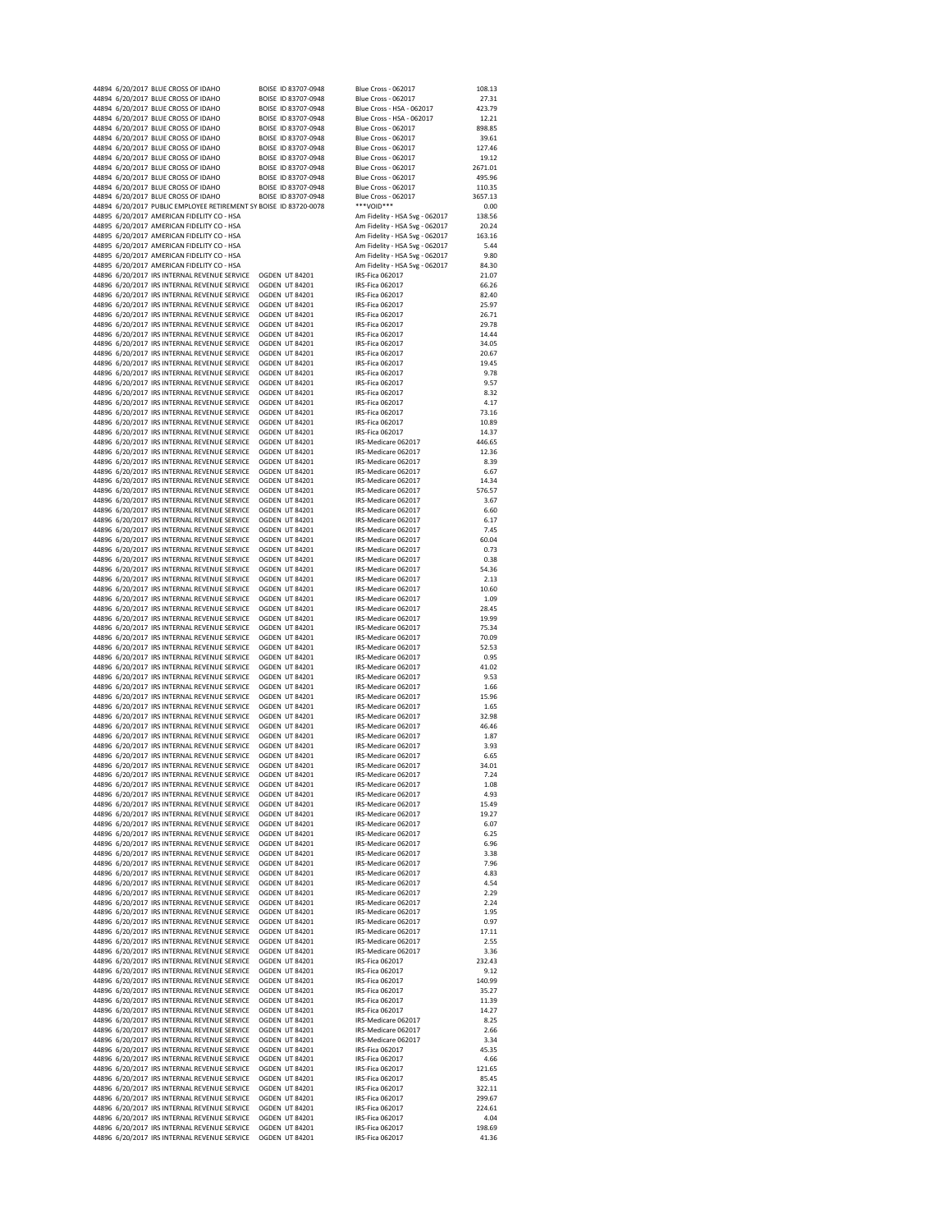|  | 44894 6/20/2017 BLUE CROSS OF IDAHO                                                                                         | BOISE ID 83707-0948                        | <b>Blue Cross - 062017</b>                                       | 108.13           |
|--|-----------------------------------------------------------------------------------------------------------------------------|--------------------------------------------|------------------------------------------------------------------|------------------|
|  | 44894 6/20/2017 BLUE CROSS OF IDAHO                                                                                         | BOISE ID 83707-0948                        | <b>Blue Cross - 062017</b>                                       | 27.31            |
|  | 44894 6/20/2017 BLUE CROSS OF IDAHO                                                                                         | BOISE ID 83707-0948                        | Blue Cross - HSA - 062017                                        | 423.79           |
|  | 44894 6/20/2017 BLUE CROSS OF IDAHO<br>44894 6/20/2017 BLUE CROSS OF IDAHO                                                  | BOISE ID 83707-0948<br>BOISE ID 83707-0948 | Blue Cross - HSA - 062017<br><b>Blue Cross - 062017</b>          | 12.21<br>898.85  |
|  | 44894 6/20/2017 BLUE CROSS OF IDAHO                                                                                         | BOISE ID 83707-0948                        | <b>Blue Cross - 062017</b>                                       | 39.61            |
|  | 44894 6/20/2017 BLUE CROSS OF IDAHO                                                                                         | BOISE ID 83707-0948                        | <b>Blue Cross - 062017</b>                                       | 127.46           |
|  | 44894 6/20/2017 BLUE CROSS OF IDAHO                                                                                         | BOISE ID 83707-0948                        | Blue Cross - 062017                                              | 19.12            |
|  | 44894 6/20/2017 BLUE CROSS OF IDAHO                                                                                         | BOISE ID 83707-0948                        | Blue Cross - 062017                                              | 2671.01          |
|  | 44894 6/20/2017 BLUE CROSS OF IDAHO<br>44894 6/20/2017 BLUE CROSS OF IDAHO                                                  | BOISE ID 83707-0948<br>BOISE ID 83707-0948 | <b>Blue Cross - 062017</b><br><b>Blue Cross - 062017</b>         | 495.96<br>110.35 |
|  | 44894 6/20/2017 BLUE CROSS OF IDAHO                                                                                         | BOISE ID 83707-0948                        | <b>Blue Cross - 062017</b>                                       | 3657.13          |
|  | 44894 6/20/2017 PUBLIC EMPLOYEE RETIREMENT SY BOISE ID 83720-0078                                                           |                                            | ***VOID***                                                       | 0.00             |
|  | 44895 6/20/2017 AMERICAN FIDELITY CO - HSA                                                                                  |                                            | Am Fidelity - HSA Svg - 062017                                   | 138.56           |
|  | 44895 6/20/2017 AMERICAN FIDELITY CO - HSA                                                                                  |                                            | Am Fidelity - HSA Svg - 062017                                   | 20.24            |
|  | 44895 6/20/2017 AMERICAN FIDELITY CO - HSA                                                                                  |                                            | Am Fidelity - HSA Svg - 062017                                   | 163.16           |
|  | 44895 6/20/2017 AMERICAN FIDELITY CO - HSA<br>44895 6/20/2017 AMERICAN FIDELITY CO - HSA                                    |                                            | Am Fidelity - HSA Svg - 062017<br>Am Fidelity - HSA Svg - 062017 | 5.44<br>9.80     |
|  | 44895 6/20/2017 AMERICAN FIDELITY CO - HSA                                                                                  |                                            | Am Fidelity - HSA Svg - 062017                                   | 84.30            |
|  | 44896 6/20/2017 IRS INTERNAL REVENUE SERVICE                                                                                | <b>OGDEN UT 84201</b>                      | IRS-Fica 062017                                                  | 21.07            |
|  | 44896 6/20/2017 IRS INTERNAL REVENUE SERVICE                                                                                | OGDEN UT 84201                             | IRS-Fica 062017                                                  | 66.26            |
|  | 44896 6/20/2017 IRS INTERNAL REVENUE SERVICE                                                                                | OGDEN UT 84201                             | IRS-Fica 062017                                                  | 82.40            |
|  | 44896 6/20/2017 IRS INTERNAL REVENUE SERVICE                                                                                | OGDEN UT 84201                             | IRS-Fica 062017                                                  | 25.97            |
|  | 44896 6/20/2017 IRS INTERNAL REVENUE SERVICE<br>44896 6/20/2017 IRS INTERNAL REVENUE SERVICE                                | OGDEN UT 84201<br>OGDEN UT 84201           | IRS-Fica 062017<br>IRS-Fica 062017                               | 26.71<br>29.78   |
|  | 44896 6/20/2017 IRS INTERNAL REVENUE SERVICE                                                                                | OGDEN UT 84201                             | IRS-Fica 062017                                                  | 14.44            |
|  | 44896 6/20/2017 IRS INTERNAL REVENUE SERVICE                                                                                | OGDEN UT 84201                             | IRS-Fica 062017                                                  | 34.05            |
|  | 44896 6/20/2017 IRS INTERNAL REVENUE SERVICE                                                                                | OGDEN UT 84201                             | IRS-Fica 062017                                                  | 20.67            |
|  | 44896 6/20/2017 IRS INTERNAL REVENUE SERVICE                                                                                | OGDEN UT 84201                             | IRS-Fica 062017                                                  | 19.45            |
|  | 44896 6/20/2017 IRS INTERNAL REVENUE SERVICE                                                                                | OGDEN UT 84201                             | IRS-Fica 062017                                                  | 9.78             |
|  | 44896 6/20/2017 IRS INTERNAL REVENUE SERVICE<br>44896 6/20/2017 IRS INTERNAL REVENUE SERVICE                                | OGDEN UT 84201<br>OGDEN UT 84201           | IRS-Fica 062017<br>IRS-Fica 062017                               | 9.57<br>8.32     |
|  | 44896 6/20/2017 IRS INTERNAL REVENUE SERVICE                                                                                | OGDEN UT 84201                             | IRS-Fica 062017                                                  | 4.17             |
|  | 44896 6/20/2017 IRS INTERNAL REVENUE SERVICE                                                                                | OGDEN UT 84201                             | IRS-Fica 062017                                                  | 73.16            |
|  | 44896 6/20/2017 IRS INTERNAL REVENUE SERVICE                                                                                | OGDEN UT 84201                             | IRS-Fica 062017                                                  | 10.89            |
|  | 44896 6/20/2017 IRS INTERNAL REVENUE SERVICE                                                                                | OGDEN UT 84201                             | IRS-Fica 062017                                                  | 14.37            |
|  | 44896 6/20/2017 IRS INTERNAL REVENUE SERVICE<br>44896 6/20/2017 IRS INTERNAL REVENUE SERVICE                                | OGDEN UT 84201<br>OGDEN UT 84201           | IRS-Medicare 062017<br>IRS-Medicare 062017                       | 446.65<br>12.36  |
|  | 44896 6/20/2017 IRS INTERNAL REVENUE SERVICE                                                                                | OGDEN UT 84201                             | IRS-Medicare 062017                                              | 8.39             |
|  | 44896 6/20/2017 IRS INTERNAL REVENUE SERVICE                                                                                | OGDEN UT 84201                             | IRS-Medicare 062017                                              | 6.67             |
|  | 44896 6/20/2017 IRS INTERNAL REVENUE SERVICE                                                                                | OGDEN UT 84201                             | IRS-Medicare 062017                                              | 14.34            |
|  | 44896 6/20/2017 IRS INTERNAL REVENUE SERVICE                                                                                | OGDEN UT 84201                             | IRS-Medicare 062017                                              | 576.57           |
|  | 44896 6/20/2017 IRS INTERNAL REVENUE SERVICE                                                                                | OGDEN UT 84201                             | IRS-Medicare 062017                                              | 3.67             |
|  | 44896 6/20/2017 IRS INTERNAL REVENUE SERVICE                                                                                | OGDEN UT 84201<br>OGDEN UT 84201           | IRS-Medicare 062017<br>IRS-Medicare 062017                       | 6.60<br>6.17     |
|  | 44896 6/20/2017 IRS INTERNAL REVENUE SERVICE<br>44896 6/20/2017 IRS INTERNAL REVENUE SERVICE                                | OGDEN UT 84201                             | IRS-Medicare 062017                                              | 7.45             |
|  | 44896 6/20/2017 IRS INTERNAL REVENUE SERVICE                                                                                | OGDEN UT 84201                             | IRS-Medicare 062017                                              | 60.04            |
|  | 44896 6/20/2017 IRS INTERNAL REVENUE SERVICE                                                                                | OGDEN UT 84201                             | IRS-Medicare 062017                                              | 0.73             |
|  | 44896 6/20/2017 IRS INTERNAL REVENUE SERVICE                                                                                | OGDEN UT 84201                             | IRS-Medicare 062017                                              | 0.38             |
|  | 44896 6/20/2017 IRS INTERNAL REVENUE SERVICE                                                                                | OGDEN UT 84201                             | IRS-Medicare 062017                                              | 54.36            |
|  | 44896 6/20/2017 IRS INTERNAL REVENUE SERVICE<br>44896 6/20/2017 IRS INTERNAL REVENUE SERVICE                                | OGDEN UT 84201<br>OGDEN UT 84201           | IRS-Medicare 062017<br>IRS-Medicare 062017                       | 2.13<br>10.60    |
|  | 44896 6/20/2017 IRS INTERNAL REVENUE SERVICE                                                                                | OGDEN UT 84201                             | IRS-Medicare 062017                                              | 1.09             |
|  | 44896 6/20/2017 IRS INTERNAL REVENUE SERVICE                                                                                | OGDEN UT 84201                             | IRS-Medicare 062017                                              | 28.45            |
|  | 44896 6/20/2017 IRS INTERNAL REVENUE SERVICE                                                                                | OGDEN UT 84201                             | IRS-Medicare 062017                                              | 19.99            |
|  | 44896 6/20/2017 IRS INTERNAL REVENUE SERVICE                                                                                | OGDEN UT 84201                             | IRS-Medicare 062017                                              | 75.34            |
|  | 44896 6/20/2017 IRS INTERNAL REVENUE SERVICE                                                                                | OGDEN UT 84201                             | IRS-Medicare 062017                                              | 70.09            |
|  | 44896 6/20/2017 IRS INTERNAL REVENUE SERVICE<br>44896 6/20/2017 IRS INTERNAL REVENUE SERVICE                                | OGDEN UT 84201<br>OGDEN UT 84201           | IRS-Medicare 062017<br>IRS-Medicare 062017                       | 52.53<br>0.95    |
|  | 44896 6/20/2017 IRS INTERNAL REVENUE SERVICE                                                                                | OGDEN UT 84201                             | IRS-Medicare 062017                                              | 41.02            |
|  | 44896 6/20/2017 IRS INTERNAL REVENUE SERVICE                                                                                | OGDEN UT 84201                             | IRS-Medicare 062017                                              | 9.53             |
|  | 44896 6/20/2017 IRS INTERNAL REVENUE SERVICE                                                                                | OGDEN UT 84201                             | IRS-Medicare 062017                                              | 1.66             |
|  | 44896 6/20/2017 IRS INTERNAL REVENUE SERVICE                                                                                | OGDEN UT 84201                             | IRS-Medicare 062017                                              | 15.96            |
|  | 44896 6/20/2017 IRS INTERNAL REVENUE SERVICE                                                                                | OGDEN UT 84201<br>OGDEN UT 84201           | IRS-Medicare 062017<br>IRS-Medicare 062017                       | 1.65<br>32.98    |
|  | 44896 6/20/2017 IRS INTERNAL REVENUE SERVICE<br>44896 6/20/2017 IRS INTERNAL REVENUE SERVICE                                | OGDEN UT 84201                             | IRS-Medicare 062017                                              | 46.46            |
|  | 44896 6/20/2017 IRS INTERNAL REVENUE SERVICE                                                                                | <b>OGDEN UT 84201</b>                      | IRS-Medicare 062017                                              | 1.87             |
|  | 44896 6/20/2017 IRS INTERNAL REVENUE SERVICE                                                                                | OGDEN UT 84201                             | IRS-Medicare 062017                                              | 3.93             |
|  | 44896 6/20/2017 IRS INTERNAL REVENUE SERVICE                                                                                | <b>OGDEN UT 84201</b>                      | IRS-Medicare 062017                                              | 6.65             |
|  | 44896 6/20/2017 IRS INTERNAL REVENUE SERVICE                                                                                | OGDEN UT 84201                             | IRS-Medicare 062017                                              | 34.01            |
|  | 44896 6/20/2017 IRS INTERNAL REVENUE SERVICE<br>44896 6/20/2017 IRS INTERNAL REVENUE SERVICE OGDEN UT 84201                 | OGDEN UT 84201                             | IRS-Medicare 062017<br>IRS-Medicare 062017                       | 7.24<br>1.08     |
|  | 44896 6/20/2017 IRS INTERNAL REVENUE SERVICE OGDEN UT 84201                                                                 |                                            | IRS-Medicare 062017                                              | 4.93             |
|  | 44896 6/20/2017 IRS INTERNAL REVENUE SERVICE  OGDEN UT 84201                                                                |                                            | IRS-Medicare 062017                                              | 15.49            |
|  | 44896 6/20/2017 IRS INTERNAL REVENUE SERVICE OGDEN UT 84201                                                                 |                                            | IRS-Medicare 062017                                              | 19.27            |
|  | 44896 6/20/2017 IRS INTERNAL REVENUE SERVICE  OGDEN UT 84201                                                                |                                            | IRS-Medicare 062017                                              | 6.07             |
|  | 44896 6/20/2017 IRS INTERNAL REVENUE SERVICE  OGDEN UT 84201                                                                |                                            | IRS-Medicare 062017<br>IRS-Medicare 062017                       | 6.25             |
|  | 44896 6/20/2017 IRS INTERNAL REVENUE SERVICE  OGDEN UT 84201<br>44896 6/20/2017 IRS INTERNAL REVENUE SERVICE OGDEN UT 84201 |                                            | IRS-Medicare 062017                                              | 6.96<br>3.38     |
|  | 44896 6/20/2017 IRS INTERNAL REVENUE SERVICE OGDEN UT 84201                                                                 |                                            | IRS-Medicare 062017                                              | 7.96             |
|  | 44896 6/20/2017 IRS INTERNAL REVENUE SERVICE OGDEN UT 84201                                                                 |                                            | IRS-Medicare 062017                                              | 4.83             |
|  | 44896 6/20/2017 IRS INTERNAL REVENUE SERVICE  OGDEN UT 84201                                                                |                                            | IRS-Medicare 062017                                              | 4.54             |
|  | 44896 6/20/2017 IRS INTERNAL REVENUE SERVICE OGDEN UT 84201                                                                 |                                            | IRS-Medicare 062017                                              | 2.29             |
|  | 44896 6/20/2017 IRS INTERNAL REVENUE SERVICE  OGDEN UT 84201                                                                |                                            | IRS-Medicare 062017                                              | 2.24             |
|  | 44896 6/20/2017 IRS INTERNAL REVENUE SERVICE OGDEN UT 84201<br>44896 6/20/2017 IRS INTERNAL REVENUE SERVICE OGDEN UT 84201  |                                            | IRS-Medicare 062017<br>IRS-Medicare 062017                       | 1.95<br>0.97     |
|  | 44896 6/20/2017 IRS INTERNAL REVENUE SERVICE OGDEN UT 84201                                                                 |                                            | IRS-Medicare 062017                                              | 17.11            |
|  | 44896 6/20/2017 IRS INTERNAL REVENUE SERVICE OGDEN UT 84201                                                                 |                                            | IRS-Medicare 062017                                              | 2.55             |
|  | 44896 6/20/2017 IRS INTERNAL REVENUE SERVICE OGDEN UT 84201                                                                 |                                            | IRS-Medicare 062017                                              | 3.36             |
|  | 44896 6/20/2017 IRS INTERNAL REVENUE SERVICE  OGDEN UT 84201                                                                |                                            | IRS-Fica 062017                                                  | 232.43           |
|  | 44896 6/20/2017 IRS INTERNAL REVENUE SERVICE<br>44896 6/20/2017 IRS INTERNAL REVENUE SERVICE                                | <b>OGDEN UT 84201</b>                      | IRS-Fica 062017<br>IRS-Fica 062017                               | 9.12             |
|  | 44896 6/20/2017 IRS INTERNAL REVENUE SERVICE  OGDEN UT 84201                                                                | OGDEN UT 84201                             | IRS-Fica 062017                                                  | 140.99<br>35.27  |
|  | 44896 6/20/2017 IRS INTERNAL REVENUE SERVICE  OGDEN UT 84201                                                                |                                            | IRS-Fica 062017                                                  | 11.39            |
|  | 44896 6/20/2017 IRS INTERNAL REVENUE SERVICE OGDEN UT 84201                                                                 |                                            | IRS-Fica 062017                                                  | 14.27            |
|  | 44896 6/20/2017 IRS INTERNAL REVENUE SERVICE  OGDEN UT 84201                                                                |                                            | IRS-Medicare 062017                                              | 8.25             |
|  | 44896 6/20/2017 IRS INTERNAL REVENUE SERVICE  OGDEN UT 84201                                                                |                                            | IRS-Medicare 062017                                              | 2.66             |
|  | 44896 6/20/2017 IRS INTERNAL REVENUE SERVICE  OGDEN UT 84201<br>44896 6/20/2017 IRS INTERNAL REVENUE SERVICE OGDEN UT 84201 |                                            | IRS-Medicare 062017<br>IRS-Fica 062017                           | 3.34             |
|  | 44896 6/20/2017 IRS INTERNAL REVENUE SERVICE OGDEN UT 84201                                                                 |                                            | IRS-Fica 062017                                                  | 45.35<br>4.66    |
|  | 44896 6/20/2017 IRS INTERNAL REVENUE SERVICE OGDEN UT 84201                                                                 |                                            | IRS-Fica 062017                                                  | 121.65           |
|  | 44896 6/20/2017 IRS INTERNAL REVENUE SERVICE  OGDEN UT 84201                                                                |                                            | IRS-Fica 062017                                                  | 85.45            |
|  | 44896 6/20/2017 IRS INTERNAL REVENUE SERVICE OGDEN UT 84201                                                                 |                                            | IRS-Fica 062017                                                  | 322.11           |
|  | 44896 6/20/2017 IRS INTERNAL REVENUE SERVICE OGDEN UT 84201                                                                 |                                            | IRS-Fica 062017                                                  | 299.67           |
|  | 44896 6/20/2017 IRS INTERNAL REVENUE SERVICE OGDEN UT 84201                                                                 |                                            | IRS-Fica 062017                                                  | 224.61           |
|  | 44896 6/20/2017 IRS INTERNAL REVENUE SERVICE OGDEN UT 84201<br>44896 6/20/2017 IRS INTERNAL REVENUE SERVICE OGDEN UT 84201  |                                            | IRS-Fica 062017<br>IRS-Fica 062017                               | 4.04<br>198.69   |
|  | 44896 6/20/2017 IRS INTERNAL REVENUE SERVICE OGDEN UT 84201                                                                 |                                            | IRS-Fica 062017                                                  | 41.36            |
|  |                                                                                                                             |                                            |                                                                  |                  |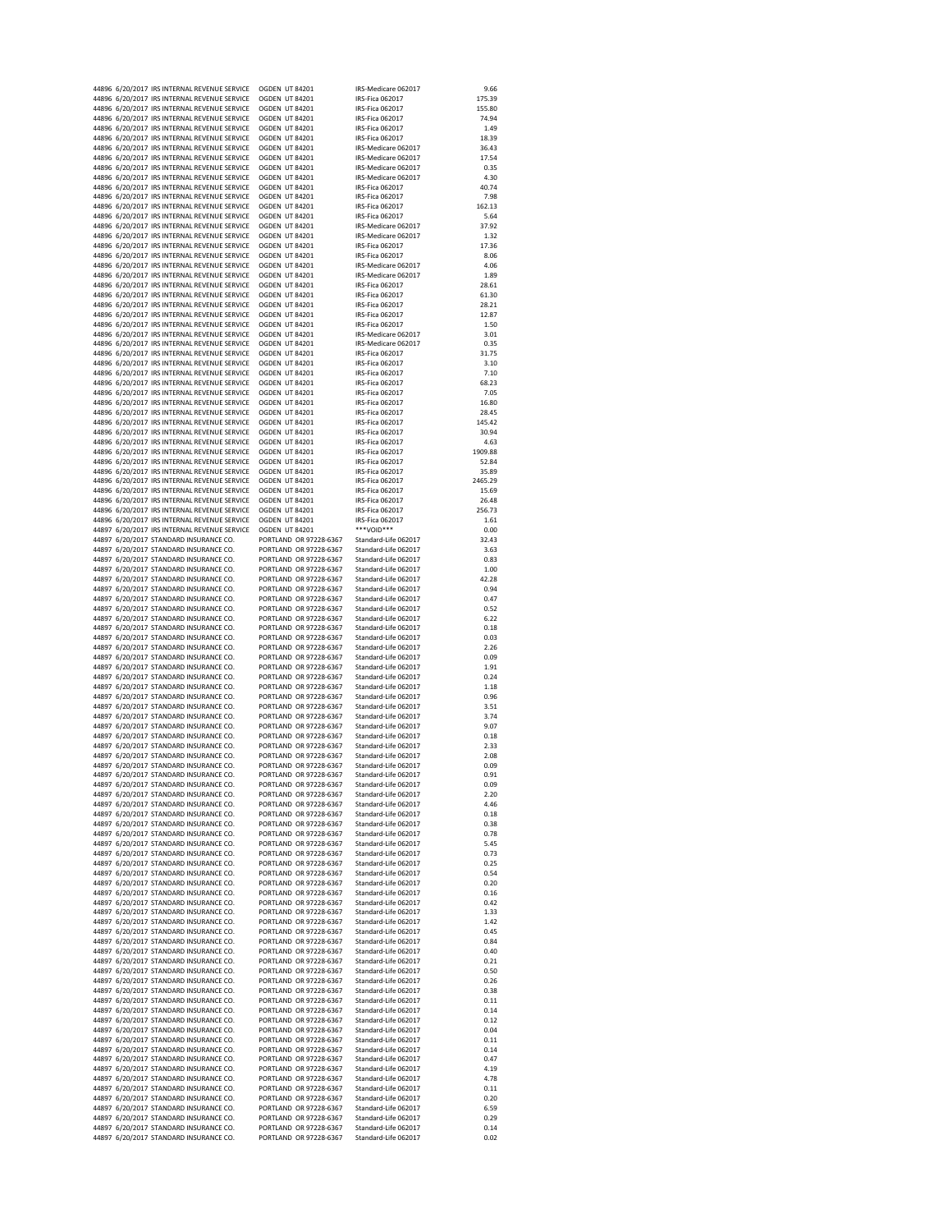|  | 44896 6/20/2017 IRS INTERNAL REVENUE SERVICE | OGDEN UT 84201         | IRS-Medicare 062017  | 9.66          |
|--|----------------------------------------------|------------------------|----------------------|---------------|
|  | 44896 6/20/2017 IRS INTERNAL REVENUE SERVICE | <b>OGDEN UT 84201</b>  | IRS-Fica 062017      | 175.39        |
|  | 44896 6/20/2017 IRS INTERNAL REVENUE SERVICE | OGDEN UT 84201         | IRS-Fica 062017      | 155.80        |
|  |                                              |                        |                      |               |
|  | 44896 6/20/2017 IRS INTERNAL REVENUE SERVICE | OGDEN UT 84201         | IRS-Fica 062017      | 74.94         |
|  | 44896 6/20/2017 IRS INTERNAL REVENUE SERVICE | OGDEN UT 84201         | IRS-Fica 062017      | 1.49          |
|  | 44896 6/20/2017 IRS INTERNAL REVENUE SERVICE | OGDEN UT 84201         | IRS-Fica 062017      | 18.39         |
|  | 44896 6/20/2017 IRS INTERNAL REVENUE SERVICE | OGDEN UT 84201         | IRS-Medicare 062017  | 36.43         |
|  | 44896 6/20/2017 IRS INTERNAL REVENUE SERVICE | OGDEN UT 84201         | IRS-Medicare 062017  | 17.54         |
|  | 44896 6/20/2017 IRS INTERNAL REVENUE SERVICE | OGDEN UT 84201         | IRS-Medicare 062017  | 0.35          |
|  | 44896 6/20/2017 IRS INTERNAL REVENUE SERVICE | OGDEN UT 84201         | IRS-Medicare 062017  | 4.30          |
|  | 44896 6/20/2017 IRS INTERNAL REVENUE SERVICE | OGDEN UT 84201         | IRS-Fica 062017      | 40.74         |
|  | 44896 6/20/2017 IRS INTERNAL REVENUE SERVICE | OGDEN UT 84201         | IRS-Fica 062017      | 7.98          |
|  | 44896 6/20/2017 IRS INTERNAL REVENUE SERVICE | OGDEN UT 84201         | IRS-Fica 062017      | 162.13        |
|  | 44896 6/20/2017 IRS INTERNAL REVENUE SERVICE | OGDEN UT 84201         | IRS-Fica 062017      | 5.64          |
|  | 44896 6/20/2017 IRS INTERNAL REVENUE SERVICE | OGDEN UT 84201         | IRS-Medicare 062017  | 37.92         |
|  | 44896 6/20/2017 IRS INTERNAL REVENUE SERVICE | OGDEN UT 84201         | IRS-Medicare 062017  | 1.32          |
|  | 44896 6/20/2017 IRS INTERNAL REVENUE SERVICE | OGDEN UT 84201         | IRS-Fica 062017      | 17.36         |
|  | 44896 6/20/2017 IRS INTERNAL REVENUE SERVICE | OGDEN UT 84201         | IRS-Fica 062017      | 8.06          |
|  | 44896 6/20/2017 IRS INTERNAL REVENUE SERVICE | <b>OGDEN UT 84201</b>  | IRS-Medicare 062017  | 4.06          |
|  | 44896 6/20/2017 IRS INTERNAL REVENUE SERVICE | OGDEN UT 84201         | IRS-Medicare 062017  | 1.89          |
|  | 44896 6/20/2017 IRS INTERNAL REVENUE SERVICE | OGDEN UT 84201         | IRS-Fica 062017      | 28.61         |
|  | 44896 6/20/2017 IRS INTERNAL REVENUE SERVICE | OGDEN UT 84201         | IRS-Fica 062017      | 61.30         |
|  | 44896 6/20/2017 IRS INTERNAL REVENUE SERVICE | OGDEN UT 84201         | IRS-Fica 062017      | 28.21         |
|  | 44896 6/20/2017 IRS INTERNAL REVENUE SERVICE | OGDEN UT 84201         | IRS-Fica 062017      | 12.87         |
|  | 44896 6/20/2017 IRS INTERNAL REVENUE SERVICE | OGDEN UT 84201         | IRS-Fica 062017      | 1.50          |
|  | 44896 6/20/2017 IRS INTERNAL REVENUE SERVICE | OGDEN UT 84201         | IRS-Medicare 062017  | 3.01          |
|  | 44896 6/20/2017 IRS INTERNAL REVENUE SERVICE | OGDEN UT 84201         | IRS-Medicare 062017  | 0.35          |
|  | 44896 6/20/2017 IRS INTERNAL REVENUE SERVICE | OGDEN UT 84201         | IRS-Fica 062017      | 31.75         |
|  | 44896 6/20/2017 IRS INTERNAL REVENUE SERVICE | OGDEN UT 84201         | IRS-Fica 062017      | 3.10          |
|  | 44896 6/20/2017 IRS INTERNAL REVENUE SERVICE | OGDEN UT 84201         | IRS-Fica 062017      | 7.10          |
|  | 44896 6/20/2017 IRS INTERNAL REVENUE SERVICE | OGDEN UT 84201         | IRS-Fica 062017      | 68.23         |
|  | 44896 6/20/2017 IRS INTERNAL REVENUE SERVICE | OGDEN UT 84201         | IRS-Fica 062017      | 7.05          |
|  | 44896 6/20/2017 IRS INTERNAL REVENUE SERVICE | OGDEN UT 84201         | IRS-Fica 062017      | 16.80         |
|  | 44896 6/20/2017 IRS INTERNAL REVENUE SERVICE | OGDEN UT 84201         | IRS-Fica 062017      | 28.45         |
|  |                                              | OGDEN UT 84201         | IRS-Fica 062017      | 145.42        |
|  | 44896 6/20/2017 IRS INTERNAL REVENUE SERVICE |                        |                      |               |
|  | 44896 6/20/2017 IRS INTERNAL REVENUE SERVICE | OGDEN UT 84201         | IRS-Fica 062017      | 30.94<br>4.63 |
|  | 44896 6/20/2017 IRS INTERNAL REVENUE SERVICE | OGDEN UT 84201         | IRS-Fica 062017      |               |
|  | 44896 6/20/2017 IRS INTERNAL REVENUE SERVICE | OGDEN UT 84201         | IRS-Fica 062017      | 1909.88       |
|  | 44896 6/20/2017 IRS INTERNAL REVENUE SERVICE | <b>OGDEN UT 84201</b>  | IRS-Fica 062017      | 52.84         |
|  | 44896 6/20/2017 IRS INTERNAL REVENUE SERVICE | OGDEN UT 84201         | IRS-Fica 062017      | 35.89         |
|  | 44896 6/20/2017 IRS INTERNAL REVENUE SERVICE | OGDEN UT 84201         | IRS-Fica 062017      | 2465.29       |
|  | 44896 6/20/2017 IRS INTERNAL REVENUE SERVICE | OGDEN UT 84201         | IRS-Fica 062017      | 15.69         |
|  | 44896 6/20/2017 IRS INTERNAL REVENUE SERVICE | OGDEN UT 84201         | IRS-Fica 062017      | 26.48         |
|  | 44896 6/20/2017 IRS INTERNAL REVENUE SERVICE | OGDEN UT 84201         | IRS-Fica 062017      | 256.73        |
|  | 44896 6/20/2017 IRS INTERNAL REVENUE SERVICE | OGDEN UT 84201         | IRS-Fica 062017      | 1.61          |
|  | 44897 6/20/2017 IRS INTERNAL REVENUE SERVICE | OGDEN UT 84201         | ***VOID***           | 0.00          |
|  | 44897 6/20/2017 STANDARD INSURANCE CO.       | PORTLAND OR 97228-6367 | Standard-Life 062017 | 32.43         |
|  | 44897 6/20/2017 STANDARD INSURANCE CO.       | PORTLAND OR 97228-6367 | Standard-Life 062017 | 3.63          |
|  | 44897 6/20/2017 STANDARD INSURANCE CO.       | PORTLAND OR 97228-6367 | Standard-Life 062017 | 0.83          |
|  | 44897 6/20/2017 STANDARD INSURANCE CO.       | PORTLAND OR 97228-6367 | Standard-Life 062017 | 1.00          |
|  | 44897 6/20/2017 STANDARD INSURANCE CO.       | PORTLAND OR 97228-6367 | Standard-Life 062017 | 42.28         |
|  | 44897 6/20/2017 STANDARD INSURANCE CO.       | PORTLAND OR 97228-6367 | Standard-Life 062017 | 0.94          |
|  | 44897 6/20/2017 STANDARD INSURANCE CO.       | PORTLAND OR 97228-6367 | Standard-Life 062017 | 0.47          |
|  | 44897 6/20/2017 STANDARD INSURANCE CO.       | PORTLAND OR 97228-6367 | Standard-Life 062017 | 0.52          |
|  | 44897 6/20/2017 STANDARD INSURANCE CO.       | PORTLAND OR 97228-6367 | Standard-Life 062017 | 6.22          |
|  | 44897 6/20/2017 STANDARD INSURANCE CO.       | PORTLAND OR 97228-6367 | Standard-Life 062017 | 0.18          |
|  | 44897 6/20/2017 STANDARD INSURANCE CO.       | PORTLAND OR 97228-6367 | Standard-Life 062017 | 0.03          |
|  | 44897 6/20/2017 STANDARD INSURANCE CO.       | PORTLAND OR 97228-6367 | Standard-Life 062017 | 2.26          |
|  | 44897 6/20/2017 STANDARD INSURANCE CO.       | PORTLAND OR 97228-6367 | Standard-Life 062017 | 0.09          |
|  | 44897 6/20/2017 STANDARD INSURANCE CO.       | PORTLAND OR 97228-6367 | Standard-Life 062017 | 1.91          |
|  | 44897 6/20/2017 STANDARD INSURANCE CO.       | PORTLAND OR 97228-6367 | Standard-Life 062017 | 0.24          |
|  | 44897 6/20/2017 STANDARD INSURANCE CO.       | PORTLAND OR 97228-6367 | Standard-Life 062017 | 1.18          |
|  | 44897 6/20/2017 STANDARD INSURANCE CO.       | PORTLAND OR 97228-6367 | Standard-Life 062017 | 0.96          |
|  |                                              |                        |                      |               |
|  | 44897 6/20/2017 STANDARD INSURANCE CO.       | PORTLAND OR 97228-6367 | Standard-Life 062017 | 3.51          |
|  | 44897 6/20/2017 STANDARD INSURANCE CO.       | PORTLAND OR 97228-6367 | Standard-Life 062017 | 3.74          |
|  | 44897 6/20/2017 STANDARD INSURANCE CO.       | PORTLAND OR 97228-6367 | Standard-Life 062017 | 9.07          |
|  | 44897 6/20/2017 STANDARD INSURANCE CO.       | PORTLAND OR 97228-6367 | Standard-Life 062017 | 0.18          |
|  | 44897 6/20/2017 STANDARD INSURANCE CO.       | PORTLAND OR 97228-6367 | Standard-Life 062017 | 2.33          |
|  | 44897 6/20/2017 STANDARD INSURANCE CO.       | PORTLAND OR 97228-6367 | Standard-Life 062017 | 2.08          |
|  | 44897 6/20/2017 STANDARD INSURANCE CO.       | PORTLAND OR 97228-6367 | Standard-Life 062017 | 0.09          |
|  | 44897 6/20/2017 STANDARD INSURANCE CO.       | PORTLAND OR 97228-6367 | Standard-Life 062017 | 0.91          |
|  | 44897 6/20/2017 STANDARD INSURANCE CO.       | PORTLAND OR 97228-6367 | Standard-Life 062017 | 0.09          |
|  | 44897 6/20/2017 STANDARD INSURANCE CO.       | PORTLAND OR 97228-6367 | Standard-Life 062017 | 2.20          |
|  | 44897 6/20/2017 STANDARD INSURANCE CO.       | PORTLAND OR 97228-6367 | Standard-Life 062017 | 4.46          |
|  | 44897 6/20/2017 STANDARD INSURANCE CO.       | PORTLAND OR 97228-6367 | Standard-Life 062017 | 0.18          |
|  | 44897 6/20/2017 STANDARD INSURANCE CO.       | PORTLAND OR 97228-6367 | Standard-Life 062017 | 0.38          |
|  | 44897 6/20/2017 STANDARD INSURANCE CO.       | PORTLAND OR 97228-6367 | Standard-Life 062017 | 0.78          |
|  | 44897 6/20/2017 STANDARD INSURANCE CO.       | PORTLAND OR 97228-6367 | Standard-Life 062017 | 5.45          |
|  | 44897 6/20/2017 STANDARD INSURANCE CO.       | PORTLAND OR 97228-6367 | Standard-Life 062017 | 0.73          |
|  | 44897 6/20/2017 STANDARD INSURANCE CO.       | PORTLAND OR 97228-6367 | Standard-Life 062017 | 0.25          |
|  | 44897 6/20/2017 STANDARD INSURANCE CO.       | PORTLAND OR 97228-6367 | Standard-Life 062017 | 0.54          |
|  | 44897 6/20/2017 STANDARD INSURANCE CO.       | PORTLAND OR 97228-6367 | Standard-Life 062017 | 0.20          |
|  | 44897 6/20/2017 STANDARD INSURANCE CO.       | PORTLAND OR 97228-6367 | Standard-Life 062017 | 0.16          |
|  | 44897 6/20/2017 STANDARD INSURANCE CO.       | PORTLAND OR 97228-6367 | Standard-Life 062017 | 0.42          |
|  | 44897 6/20/2017 STANDARD INSURANCE CO.       | PORTLAND OR 97228-6367 | Standard-Life 062017 | 1.33          |
|  | 44897 6/20/2017 STANDARD INSURANCE CO.       | PORTLAND OR 97228-6367 | Standard-Life 062017 | 1.42          |
|  | 44897 6/20/2017 STANDARD INSURANCE CO.       | PORTLAND OR 97228-6367 | Standard-Life 062017 | 0.45          |
|  | 44897 6/20/2017 STANDARD INSURANCE CO.       | PORTLAND OR 97228-6367 | Standard-Life 062017 | 0.84          |
|  | 44897 6/20/2017 STANDARD INSURANCE CO.       | PORTLAND OR 97228-6367 | Standard-Life 062017 | 0.40          |
|  | 44897 6/20/2017 STANDARD INSURANCE CO.       | PORTLAND OR 97228-6367 | Standard-Life 062017 | 0.21          |
|  | 44897 6/20/2017 STANDARD INSURANCE CO.       | PORTLAND OR 97228-6367 | Standard-Life 062017 | 0.50          |
|  | 44897 6/20/2017 STANDARD INSURANCE CO.       | PORTLAND OR 97228-6367 | Standard-Life 062017 | 0.26          |
|  | 44897 6/20/2017 STANDARD INSURANCE CO.       | PORTLAND OR 97228-6367 | Standard-Life 062017 | 0.38          |
|  | 44897 6/20/2017 STANDARD INSURANCE CO.       | PORTLAND OR 97228-6367 | Standard-Life 062017 | 0.11          |
|  |                                              | PORTLAND OR 97228-6367 | Standard-Life 062017 | 0.14          |
|  | 44897 6/20/2017 STANDARD INSURANCE CO.       |                        |                      |               |
|  | 44897 6/20/2017 STANDARD INSURANCE CO.       | PORTLAND OR 97228-6367 | Standard-Life 062017 | 0.12          |
|  | 44897 6/20/2017 STANDARD INSURANCE CO.       | PORTLAND OR 97228-6367 | Standard-Life 062017 | 0.04          |
|  | 44897 6/20/2017 STANDARD INSURANCE CO.       | PORTLAND OR 97228-6367 | Standard-Life 062017 | 0.11          |
|  | 44897 6/20/2017 STANDARD INSURANCE CO.       | PORTLAND OR 97228-6367 | Standard-Life 062017 | 0.14          |
|  | 44897 6/20/2017 STANDARD INSURANCE CO.       | PORTLAND OR 97228-6367 | Standard-Life 062017 | 0.47          |
|  | 44897 6/20/2017 STANDARD INSURANCE CO.       | PORTLAND OR 97228-6367 | Standard-Life 062017 | 4.19          |
|  | 44897 6/20/2017 STANDARD INSURANCE CO.       | PORTLAND OR 97228-6367 | Standard-Life 062017 | 4.78          |
|  | 44897 6/20/2017 STANDARD INSURANCE CO.       | PORTLAND OR 97228-6367 | Standard-Life 062017 | 0.11          |
|  | 44897 6/20/2017 STANDARD INSURANCE CO.       | PORTLAND OR 97228-6367 | Standard-Life 062017 | 0.20          |
|  | 44897 6/20/2017 STANDARD INSURANCE CO.       | PORTLAND OR 97228-6367 | Standard-Life 062017 | 6.59          |
|  | 44897 6/20/2017 STANDARD INSURANCE CO.       | PORTLAND OR 97228-6367 | Standard-Life 062017 | 0.29          |
|  | 44897 6/20/2017 STANDARD INSURANCE CO.       | PORTLAND OR 97228-6367 | Standard-Life 062017 | 0.14          |
|  | 44897 6/20/2017 STANDARD INSURANCE CO.       | PORTLAND OR 97228-6367 | Standard-Life 062017 | 0.02          |
|  |                                              |                        |                      |               |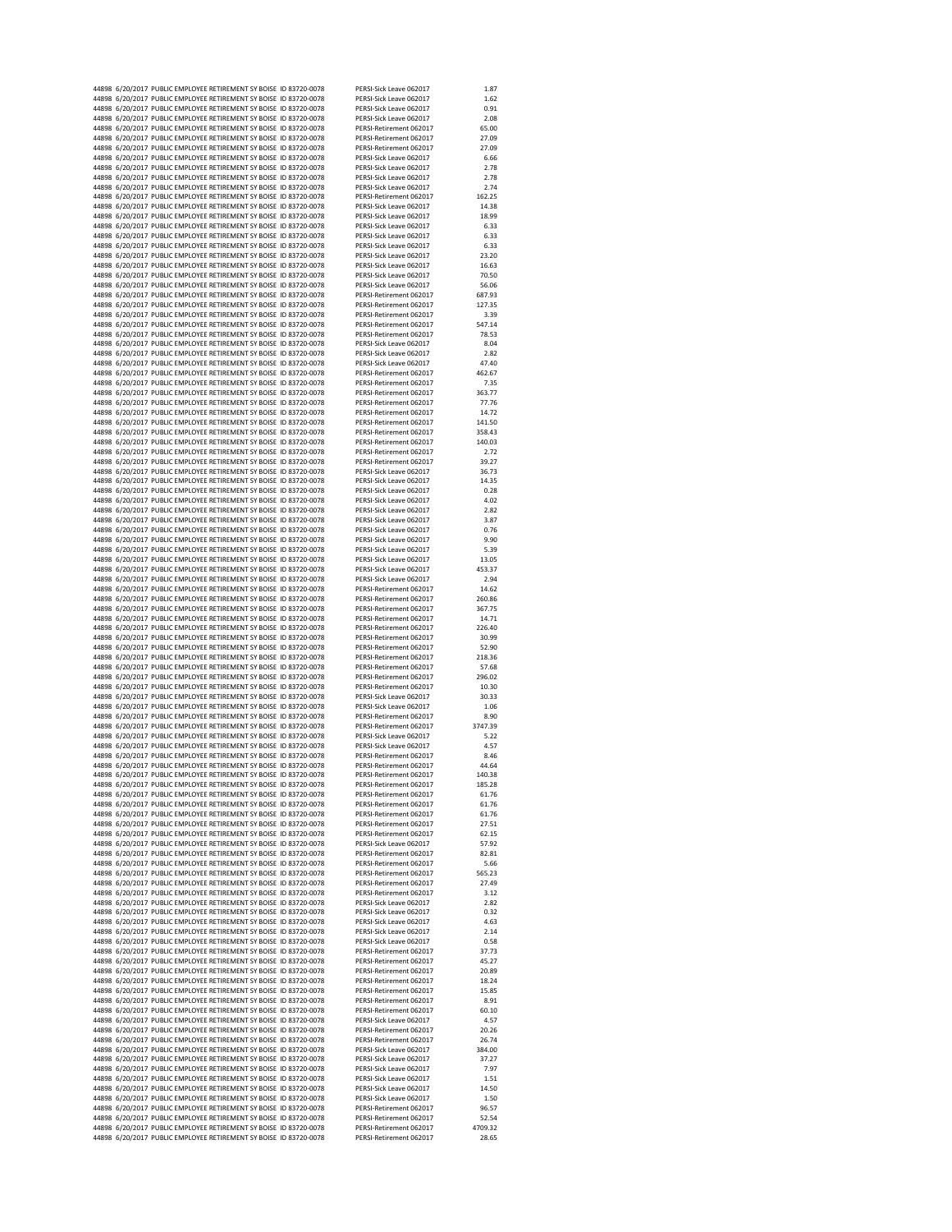|  | 44898 6/20/2017 PUBLIC EMPLOYEE RETIREMENT SY BOISE ID 83720-0078                                                                      | PERSI-Sick Leave 062017                            | 1.87             |
|--|----------------------------------------------------------------------------------------------------------------------------------------|----------------------------------------------------|------------------|
|  | 44898 6/20/2017 PUBLIC EMPLOYEE RETIREMENT SY BOISE ID 83720-0078                                                                      | PERSI-Sick Leave 062017                            | 1.62             |
|  |                                                                                                                                        |                                                    |                  |
|  | 44898 6/20/2017 PUBLIC EMPLOYEE RETIREMENT SY BOISE ID 83720-0078                                                                      | PERSI-Sick Leave 062017                            | 0.91             |
|  | 44898 6/20/2017 PUBLIC EMPLOYEE RETIREMENT SY BOISE ID 83720-0078                                                                      | PERSI-Sick Leave 062017                            | 2.08             |
|  | 44898 6/20/2017 PUBLIC EMPLOYEE RETIREMENT SY BOISE ID 83720-0078                                                                      | PERSI-Retirement 062017                            | 65.00            |
|  | 44898 6/20/2017 PUBLIC EMPLOYEE RETIREMENT SY BOISE ID 83720-0078                                                                      | PERSI-Retirement 062017                            | 27.09            |
|  | 44898 6/20/2017 PUBLIC EMPLOYEE RETIREMENT SY BOISE ID 83720-0078                                                                      | PERSI-Retirement 062017                            | 27.09            |
|  | 44898 6/20/2017 PUBLIC EMPLOYEE RETIREMENT SY BOISE ID 83720-0078                                                                      | PERSI-Sick Leave 062017                            | 6.66             |
|  | 44898 6/20/2017 PUBLIC EMPLOYEE RETIREMENT SY BOISE ID 83720-0078                                                                      | PERSI-Sick Leave 062017                            | 2.78             |
|  | 44898 6/20/2017 PUBLIC EMPLOYEE RETIREMENT SY BOISE ID 83720-0078                                                                      | PERSI-Sick Leave 062017                            | 2.78             |
|  | 44898 6/20/2017 PUBLIC EMPLOYEE RETIREMENT SY BOISE ID 83720-0078                                                                      | PERSI-Sick Leave 062017                            | 2.74             |
|  |                                                                                                                                        |                                                    |                  |
|  | 44898 6/20/2017 PUBLIC EMPLOYEE RETIREMENT SY BOISE ID 83720-0078                                                                      | PERSI-Retirement 062017                            | 162.25           |
|  | 44898 6/20/2017 PUBLIC EMPLOYEE RETIREMENT SY BOISE ID 83720-0078                                                                      | PERSI-Sick Leave 062017                            | 14.38            |
|  | 44898 6/20/2017 PUBLIC EMPLOYEE RETIREMENT SY BOISE ID 83720-0078                                                                      | PERSI-Sick Leave 062017                            | 18.99            |
|  | 44898 6/20/2017 PUBLIC EMPLOYEE RETIREMENT SY BOISE ID 83720-0078                                                                      | PERSI-Sick Leave 062017                            | 6.33             |
|  | 44898 6/20/2017 PUBLIC EMPLOYEE RETIREMENT SY BOISE ID 83720-0078                                                                      | PERSI-Sick Leave 062017                            | 6.33             |
|  | 44898 6/20/2017 PUBLIC EMPLOYEE RETIREMENT SY BOISE ID 83720-0078                                                                      | PERSI-Sick Leave 062017                            | 6.33             |
|  |                                                                                                                                        |                                                    |                  |
|  | 44898 6/20/2017 PUBLIC EMPLOYEE RETIREMENT SY BOISE ID 83720-0078                                                                      | PERSI-Sick Leave 062017<br>PERSI-Sick Leave 062017 | 23.20            |
|  | 44898 6/20/2017 PUBLIC EMPLOYEE RETIREMENT SY BOISE ID 83720-0078                                                                      |                                                    | 16.63            |
|  | 44898 6/20/2017 PUBLIC EMPLOYEE RETIREMENT SY BOISE ID 83720-0078                                                                      | PERSI-Sick Leave 062017                            | 70.50            |
|  | 44898 6/20/2017 PUBLIC EMPLOYEE RETIREMENT SY BOISE ID 83720-0078                                                                      | PERSI-Sick Leave 062017                            | 56.06            |
|  | 44898 6/20/2017 PUBLIC EMPLOYEE RETIREMENT SY BOISE ID 83720-0078                                                                      | PERSI-Retirement 062017                            | 687.93           |
|  | 44898 6/20/2017 PUBLIC EMPLOYEE RETIREMENT SY BOISE ID 83720-0078                                                                      | PERSI-Retirement 062017                            | 127.35           |
|  | 44898 6/20/2017 PUBLIC EMPLOYEE RETIREMENT SY BOISE ID 83720-0078                                                                      | PERSI-Retirement 062017                            | 3.39             |
|  | 44898 6/20/2017 PUBLIC EMPLOYEE RETIREMENT SY BOISE ID 83720-0078                                                                      | PERSI-Retirement 062017                            | 547.14           |
|  | 44898 6/20/2017 PUBLIC EMPLOYEE RETIREMENT SY BOISE ID 83720-0078                                                                      | PERSI-Retirement 062017                            | 78.53            |
|  |                                                                                                                                        |                                                    |                  |
|  | 44898 6/20/2017 PUBLIC EMPLOYEE RETIREMENT SY BOISE ID 83720-0078                                                                      | PERSI-Sick Leave 062017                            | 8.04             |
|  | 44898 6/20/2017 PUBLIC EMPLOYEE RETIREMENT SY BOISE ID 83720-0078                                                                      | PERSI-Sick Leave 062017                            | 2.82             |
|  | 44898 6/20/2017 PUBLIC EMPLOYEE RETIREMENT SY BOISE ID 83720-0078                                                                      | PERSI-Sick Leave 062017                            | 47.40            |
|  | 44898 6/20/2017 PUBLIC EMPLOYEE RETIREMENT SY BOISE ID 83720-0078                                                                      | PERSI-Retirement 062017                            | 462.67           |
|  | 44898 6/20/2017 PUBLIC EMPLOYEE RETIREMENT SY BOISE ID 83720-0078                                                                      | PERSI-Retirement 062017                            | 7.35             |
|  | 44898 6/20/2017 PUBLIC EMPLOYEE RETIREMENT SY BOISE ID 83720-0078                                                                      | PERSI-Retirement 062017                            | 363.77           |
|  | 44898 6/20/2017 PUBLIC EMPLOYEE RETIREMENT SY BOISE ID 83720-0078                                                                      | PERSI-Retirement 062017                            | 77.76            |
|  | 44898 6/20/2017 PUBLIC EMPLOYEE RETIREMENT SY BOISE ID 83720-0078                                                                      | PFRSI-Retirement 062017                            | 14.72            |
|  |                                                                                                                                        |                                                    |                  |
|  | 44898 6/20/2017 PUBLIC EMPLOYEE RETIREMENT SY BOISE ID 83720-0078                                                                      | PERSI-Retirement 062017                            | 141.50           |
|  | 44898 6/20/2017 PUBLIC EMPLOYEE RETIREMENT SY BOISE ID 83720-0078                                                                      | PERSI-Retirement 062017                            | 358.43           |
|  | 44898 6/20/2017 PUBLIC EMPLOYEE RETIREMENT SY BOISE ID 83720-0078                                                                      | PERSI-Retirement 062017                            | 140.03           |
|  | 44898 6/20/2017 PUBLIC EMPLOYEE RETIREMENT SY BOISE ID 83720-0078                                                                      | PERSI-Retirement 062017                            | 2.72             |
|  | 44898 6/20/2017 PUBLIC EMPLOYEE RETIREMENT SY BOISE ID 83720-0078                                                                      | PFRSI-Retirement 062017                            | 39.27            |
|  | 44898 6/20/2017 PUBLIC EMPLOYEE RETIREMENT SY BOISE ID 83720-0078                                                                      | PERSI-Sick Leave 062017                            | 36.73            |
|  |                                                                                                                                        | PERSI-Sick Leave 062017                            | 14.35            |
|  | 44898 6/20/2017 PUBLIC EMPLOYEE RETIREMENT SY BOISE ID 83720-0078                                                                      |                                                    |                  |
|  | 44898 6/20/2017 PUBLIC EMPLOYEE RETIREMENT SY BOISE ID 83720-0078                                                                      | PERSI-Sick Leave 062017                            | 0.28             |
|  | 44898 6/20/2017 PUBLIC EMPLOYEE RETIREMENT SY BOISE ID 83720-0078                                                                      | PERSI-Sick Leave 062017                            | 4.02             |
|  | 44898 6/20/2017 PUBLIC EMPLOYEE RETIREMENT SY BOISE ID 83720-0078                                                                      | PERSI-Sick Leave 062017                            | 2.82             |
|  | 44898 6/20/2017 PUBLIC EMPLOYEE RETIREMENT SY BOISE ID 83720-0078                                                                      | PERSI-Sick Leave 062017                            | 3.87             |
|  | 44898 6/20/2017 PUBLIC EMPLOYEE RETIREMENT SY BOISE ID 83720-0078                                                                      | PERSI-Sick Leave 062017                            | 0.76             |
|  | 44898 6/20/2017 PUBLIC EMPLOYEE RETIREMENT SY BOISE ID 83720-0078                                                                      | PERSI-Sick Leave 062017                            | 9.90             |
|  |                                                                                                                                        |                                                    |                  |
|  | 44898 6/20/2017 PUBLIC EMPLOYEE RETIREMENT SY BOISE ID 83720-0078                                                                      | PERSI-Sick Leave 062017                            | 5.39             |
|  | 44898 6/20/2017 PUBLIC EMPLOYEE RETIREMENT SY BOISE ID 83720-0078                                                                      | PERSI-Sick Leave 062017                            | 13.05            |
|  | 44898 6/20/2017 PUBLIC EMPLOYEE RETIREMENT SY BOISE ID 83720-0078                                                                      | PERSI-Sick Leave 062017                            | 453.37           |
|  | 44898 6/20/2017 PUBLIC EMPLOYEE RETIREMENT SY BOISE ID 83720-0078                                                                      | PERSI-Sick Leave 062017                            | 2.94             |
|  | 44898 6/20/2017 PUBLIC EMPLOYEE RETIREMENT SY BOISE ID 83720-0078                                                                      | PERSI-Retirement 062017                            | 14.62            |
|  | 44898 6/20/2017 PUBLIC EMPLOYEE RETIREMENT SY BOISE ID 83720-0078                                                                      | PERSI-Retirement 062017                            | 260.86           |
|  | 44898 6/20/2017 PUBLIC EMPLOYEE RETIREMENT SY BOISE ID 83720-0078                                                                      | PERSI-Retirement 062017                            | 367.75           |
|  | 44898 6/20/2017 PUBLIC EMPLOYEE RETIREMENT SY BOISE ID 83720-0078                                                                      | PERSI-Retirement 062017                            | 14.71            |
|  |                                                                                                                                        |                                                    |                  |
|  |                                                                                                                                        |                                                    |                  |
|  | 44898 6/20/2017 PUBLIC EMPLOYEE RETIREMENT SY BOISE ID 83720-0078                                                                      | PERSI-Retirement 062017                            | 226.40           |
|  | 44898 6/20/2017 PUBLIC EMPLOYEE RETIREMENT SY BOISE ID 83720-0078                                                                      | PERSI-Retirement 062017                            | 30.99            |
|  | 44898 6/20/2017 PUBLIC EMPLOYEE RETIREMENT SY BOISE ID 83720-0078                                                                      | PERSI-Retirement 062017                            | 52.90            |
|  | 44898 6/20/2017 PUBLIC EMPLOYEE RETIREMENT SY BOISE ID 83720-0078                                                                      | PERSI-Retirement 062017                            | 218.36           |
|  |                                                                                                                                        |                                                    |                  |
|  | 44898 6/20/2017 PUBLIC EMPLOYEE RETIREMENT SY BOISE ID 83720-0078                                                                      | PERSI-Retirement 062017                            | 57.68            |
|  | 44898 6/20/2017 PUBLIC EMPLOYEE RETIREMENT SY BOISE ID 83720-0078                                                                      | PERSI-Retirement 062017                            | 296.02           |
|  | 44898 6/20/2017 PUBLIC EMPLOYEE RETIREMENT SY BOISE ID 83720-0078                                                                      | PERSI-Retirement 062017                            | 10.30            |
|  | 44898 6/20/2017 PUBLIC EMPLOYEE RETIREMENT SY BOISE ID 83720-0078                                                                      | PERSI-Sick Leave 062017                            | 30.33            |
|  | 44898 6/20/2017 PUBLIC EMPLOYEE RETIREMENT SY BOISE ID 83720-0078                                                                      | PERSI-Sick Leave 062017                            | 1.06             |
|  | 44898 6/20/2017 PUBLIC EMPLOYEE RETIREMENT SY BOISE ID 83720-0078                                                                      | PERSI-Retirement 062017                            | 8.90             |
|  | 44898 6/20/2017 PUBLIC EMPLOYEE RETIREMENT SY BOISE ID 83720-0078                                                                      | PERSI-Retirement 062017                            | 3747.39          |
|  |                                                                                                                                        |                                                    |                  |
|  | 44898 6/20/2017 PUBLIC EMPLOYEE RETIREMENT SY BOISE ID 83720-0078                                                                      | PERSI-Sick Leave 062017                            | 5.22             |
|  | 44898 6/20/2017 PUBLIC EMPLOYEE RETIREMENT SY BOISE ID 83720-0078                                                                      | PERSI-Sick Leave 062017                            | 4.57             |
|  | 44898 6/20/2017 PUBLIC EMPLOYEE RETIREMENT SY BOISE ID 83720-0078                                                                      | PERSI-Retirement 062017                            | 8.46             |
|  | 44898 6/20/2017 PUBLIC EMPLOYEE RETIREMENT SY BOISE ID 83720-0078                                                                      | PERSI-Retirement 062017                            | 44.64            |
|  | 44898 6/20/2017 PUBLIC EMPLOYEE RETIREMENT SY BOISE ID 83720-0078                                                                      | PERSI-Retirement 062017                            | 140.38           |
|  | 44898 6/20/2017 PUBLIC EMPLOYEE RETIREMENT SY BOISE ID 83720-0078                                                                      | PERSI-Retirement 062017                            | 185.28           |
|  | 44898 6/20/2017 PUBLIC EMPLOYEE RETIREMENT SY BOISE ID 83720-0078                                                                      | PERSI-Retirement 062017                            | 61.76            |
|  | 44898 6/20/2017 PUBLIC EMPLOYEE RETIREMENT SY BOISE ID 83720-0078                                                                      | PERSI-Retirement 062017                            | 61.76            |
|  | 44898 6/20/2017 PUBLIC EMPLOYEE RETIREMENT SY BOISE ID 83720-0078                                                                      | PERSI-Retirement 062017                            | 61.76            |
|  | 44898 6/20/2017 PUBLIC EMPLOYEE RETIREMENT SY BOISE ID 83720-0078                                                                      | PFRSI-Retirement 062017                            | 27.51            |
|  |                                                                                                                                        |                                                    |                  |
|  | 44898 6/20/2017 PUBLIC EMPLOYEE RETIREMENT SY BOISE ID 83720-0078                                                                      | PERSI-Retirement 062017                            | 62.15            |
|  | 44898 6/20/2017 PUBLIC EMPLOYEE RETIREMENT SY BOISE ID 83720-0078                                                                      | PERSI-Sick Leave 062017                            | 57.92            |
|  | 44898 6/20/2017 PUBLIC EMPLOYEE RETIREMENT SY BOISE ID 83720-0078                                                                      | PERSI-Retirement 062017                            | 82.81            |
|  | 44898 6/20/2017 PUBLIC EMPLOYEE RETIREMENT SY BOISE ID 83720-0078                                                                      | PERSI-Retirement 062017                            | 5.66             |
|  | 44898 6/20/2017 PUBLIC EMPLOYEE RETIREMENT SY BOISE ID 83720-0078                                                                      | PERSI-Retirement 062017                            | 565.23           |
|  | 44898 6/20/2017 PUBLIC EMPLOYEE RETIREMENT SY BOISE ID 83720-0078                                                                      | PERSI-Retirement 062017                            | 27.49            |
|  | 44898 6/20/2017 PUBLIC EMPLOYEE RETIREMENT SY BOISE ID 83720-0078                                                                      | PERSI-Retirement 062017                            | 3.12             |
|  |                                                                                                                                        |                                                    | 2.82             |
|  | 44898 6/20/2017 PUBLIC EMPLOYEE RETIREMENT SY BOISE ID 83720-0078                                                                      | PERSI-Sick Leave 062017                            |                  |
|  | 44898 6/20/2017 PUBLIC EMPLOYEE RETIREMENT SY BOISE ID 83720-0078                                                                      | PERSI-Sick Leave 062017                            | 0.32             |
|  | 44898 6/20/2017 PUBLIC EMPLOYEE RETIREMENT SY BOISE ID 83720-0078                                                                      | PERSI-Sick Leave 062017                            | 4.63             |
|  | 44898 6/20/2017 PUBLIC EMPLOYEE RETIREMENT SY BOISE ID 83720-0078                                                                      | PERSI-Sick Leave 062017                            | 2.14             |
|  | 44898 6/20/2017 PUBLIC EMPLOYEE RETIREMENT SY BOISE ID 83720-0078                                                                      | PERSI-Sick Leave 062017                            | 0.58             |
|  | 44898 6/20/2017 PUBLIC EMPLOYEE RETIREMENT SY BOISE ID 83720-0078                                                                      | PERSI-Retirement 062017                            | 37.73            |
|  | 44898 6/20/2017 PUBLIC EMPLOYEE RETIREMENT SY BOISE ID 83720-0078                                                                      | PERSI-Retirement 062017                            | 45.27            |
|  |                                                                                                                                        | PFRSI-Retirement 062017                            | 20.89            |
|  | 44898 6/20/2017 PUBLIC EMPLOYEE RETIREMENT SY BOISE ID 83720-0078                                                                      | PERSI-Retirement 062017                            |                  |
|  | 44898 6/20/2017 PUBLIC EMPLOYEE RETIREMENT SY BOISE ID 83720-0078                                                                      |                                                    | 18.24            |
|  | 44898 6/20/2017 PUBLIC EMPLOYEE RETIREMENT SY BOISE ID 83720-0078                                                                      | PERSI-Retirement 062017                            | 15.85            |
|  | 44898 6/20/2017 PUBLIC EMPLOYEE RETIREMENT SY BOISE ID 83720-0078                                                                      | PERSI-Retirement 062017                            | 8.91             |
|  | 44898 6/20/2017 PUBLIC EMPLOYEE RETIREMENT SY BOISE ID 83720-0078                                                                      | PERSI-Retirement 062017                            | 60.10            |
|  | 44898 6/20/2017 PUBLIC EMPLOYEE RETIREMENT SY BOISE ID 83720-0078                                                                      | PERSI-Sick Leave 062017                            | 4.57             |
|  | 44898 6/20/2017 PUBLIC EMPLOYEE RETIREMENT SY BOISE ID 83720-0078                                                                      | PERSI-Retirement 062017                            | 20.26            |
|  | 44898 6/20/2017 PUBLIC EMPLOYEE RETIREMENT SY BOISE ID 83720-0078                                                                      | PERSI-Retirement 062017                            | 26.74            |
|  |                                                                                                                                        | PERSI-Sick Leave 062017                            |                  |
|  | 44898 6/20/2017 PUBLIC EMPLOYEE RETIREMENT SY BOISE ID 83720-0078                                                                      |                                                    | 384.00           |
|  | 44898 6/20/2017 PUBLIC EMPLOYEE RETIREMENT SY BOISE ID 83720-0078                                                                      | PERSI-Sick Leave 062017                            | 37.27            |
|  | 44898 6/20/2017 PUBLIC EMPLOYEE RETIREMENT SY BOISE ID 83720-0078                                                                      | PERSI-Sick Leave 062017                            | 7.97             |
|  | 44898 6/20/2017 PUBLIC EMPLOYEE RETIREMENT SY BOISE ID 83720-0078                                                                      | PERSI-Sick Leave 062017                            | 1.51             |
|  | 44898 6/20/2017 PUBLIC EMPLOYEE RETIREMENT SY BOISE ID 83720-0078                                                                      | PERSI-Sick Leave 062017                            | 14.50            |
|  | 44898 6/20/2017 PUBLIC EMPLOYEE RETIREMENT SY BOISE ID 83720-0078                                                                      | PERSI-Sick Leave 062017                            | 1.50             |
|  | 44898 6/20/2017 PUBLIC EMPLOYEE RETIREMENT SY BOISE ID 83720-0078                                                                      | PERSI-Retirement 062017                            | 96.57            |
|  |                                                                                                                                        | PERSI-Retirement 062017                            | 52.54            |
|  | 44898 6/20/2017 PUBLIC EMPLOYEE RETIREMENT SY BOISE ID 83720-0078                                                                      |                                                    |                  |
|  | 44898 6/20/2017 PUBLIC EMPLOYEE RETIREMENT SY BOISE ID 83720-0078<br>44898 6/20/2017 PUBLIC EMPLOYEE RETIREMENT SY BOISE ID 83720-0078 | PERSI-Retirement 062017<br>PERSI-Retirement 062017 | 4709.32<br>28.65 |